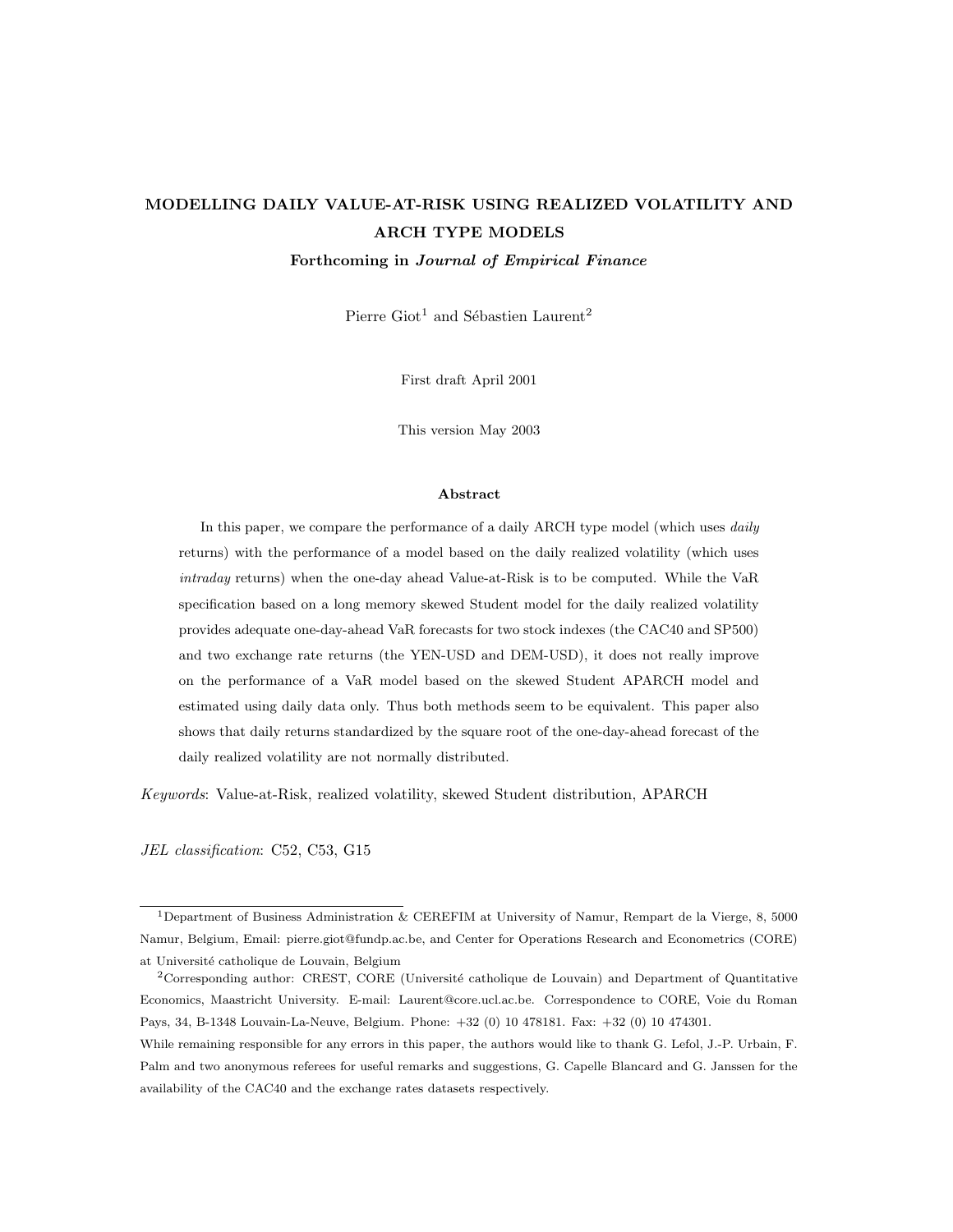# MODELLING DAILY VALUE-AT-RISK USING REALIZED VOLATILITY AND ARCH TYPE MODELS

Forthcoming in Journal of Empirical Finance

Pierre Giot<sup>1</sup> and Sébastien Laurent<sup>2</sup>

First draft April 2001

This version May 2003

#### Abstract

In this paper, we compare the performance of a daily ARCH type model (which uses *daily* returns) with the performance of a model based on the daily realized volatility (which uses intraday returns) when the one-day ahead Value-at-Risk is to be computed. While the VaR specification based on a long memory skewed Student model for the daily realized volatility provides adequate one-day-ahead VaR forecasts for two stock indexes (the CAC40 and SP500) and two exchange rate returns (the YEN-USD and DEM-USD), it does not really improve on the performance of a VaR model based on the skewed Student APARCH model and estimated using daily data only. Thus both methods seem to be equivalent. This paper also shows that daily returns standardized by the square root of the one-day-ahead forecast of the daily realized volatility are not normally distributed.

Keywords: Value-at-Risk, realized volatility, skewed Student distribution, APARCH

JEL classification: C52, C53, G15

<sup>1</sup>Department of Business Administration & CEREFIM at University of Namur, Rempart de la Vierge, 8, 5000 Namur, Belgium, Email: pierre.giot@fundp.ac.be, and Center for Operations Research and Econometrics (CORE) at Université catholique de Louvain, Belgium

 $2$ Corresponding author: CREST, CORE (Université catholique de Louvain) and Department of Quantitative Economics, Maastricht University. E-mail: Laurent@core.ucl.ac.be. Correspondence to CORE, Voie du Roman Pays, 34, B-1348 Louvain-La-Neuve, Belgium. Phone: +32 (0) 10 478181. Fax: +32 (0) 10 474301.

While remaining responsible for any errors in this paper, the authors would like to thank G. Lefol, J.-P. Urbain, F. Palm and two anonymous referees for useful remarks and suggestions, G. Capelle Blancard and G. Janssen for the availability of the CAC40 and the exchange rates datasets respectively.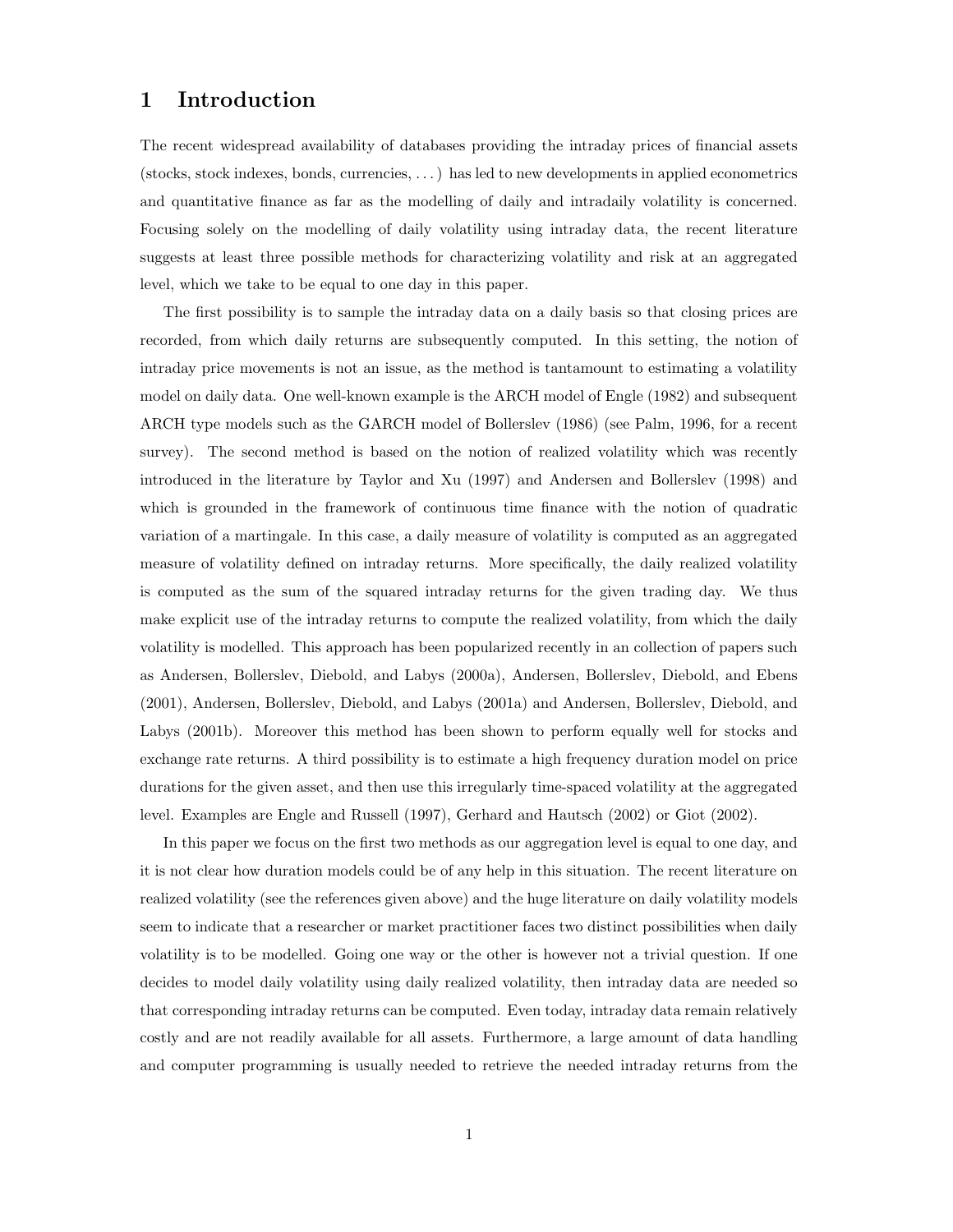### 1 Introduction

The recent widespread availability of databases providing the intraday prices of financial assets (stocks, stock indexes, bonds, currencies, . . .) has led to new developments in applied econometrics and quantitative finance as far as the modelling of daily and intradaily volatility is concerned. Focusing solely on the modelling of daily volatility using intraday data, the recent literature suggests at least three possible methods for characterizing volatility and risk at an aggregated level, which we take to be equal to one day in this paper.

The first possibility is to sample the intraday data on a daily basis so that closing prices are recorded, from which daily returns are subsequently computed. In this setting, the notion of intraday price movements is not an issue, as the method is tantamount to estimating a volatility model on daily data. One well-known example is the ARCH model of Engle (1982) and subsequent ARCH type models such as the GARCH model of Bollerslev (1986) (see Palm, 1996, for a recent survey). The second method is based on the notion of realized volatility which was recently introduced in the literature by Taylor and Xu (1997) and Andersen and Bollerslev (1998) and which is grounded in the framework of continuous time finance with the notion of quadratic variation of a martingale. In this case, a daily measure of volatility is computed as an aggregated measure of volatility defined on intraday returns. More specifically, the daily realized volatility is computed as the sum of the squared intraday returns for the given trading day. We thus make explicit use of the intraday returns to compute the realized volatility, from which the daily volatility is modelled. This approach has been popularized recently in an collection of papers such as Andersen, Bollerslev, Diebold, and Labys (2000a), Andersen, Bollerslev, Diebold, and Ebens (2001), Andersen, Bollerslev, Diebold, and Labys (2001a) and Andersen, Bollerslev, Diebold, and Labys (2001b). Moreover this method has been shown to perform equally well for stocks and exchange rate returns. A third possibility is to estimate a high frequency duration model on price durations for the given asset, and then use this irregularly time-spaced volatility at the aggregated level. Examples are Engle and Russell (1997), Gerhard and Hautsch (2002) or Giot (2002).

In this paper we focus on the first two methods as our aggregation level is equal to one day, and it is not clear how duration models could be of any help in this situation. The recent literature on realized volatility (see the references given above) and the huge literature on daily volatility models seem to indicate that a researcher or market practitioner faces two distinct possibilities when daily volatility is to be modelled. Going one way or the other is however not a trivial question. If one decides to model daily volatility using daily realized volatility, then intraday data are needed so that corresponding intraday returns can be computed. Even today, intraday data remain relatively costly and are not readily available for all assets. Furthermore, a large amount of data handling and computer programming is usually needed to retrieve the needed intraday returns from the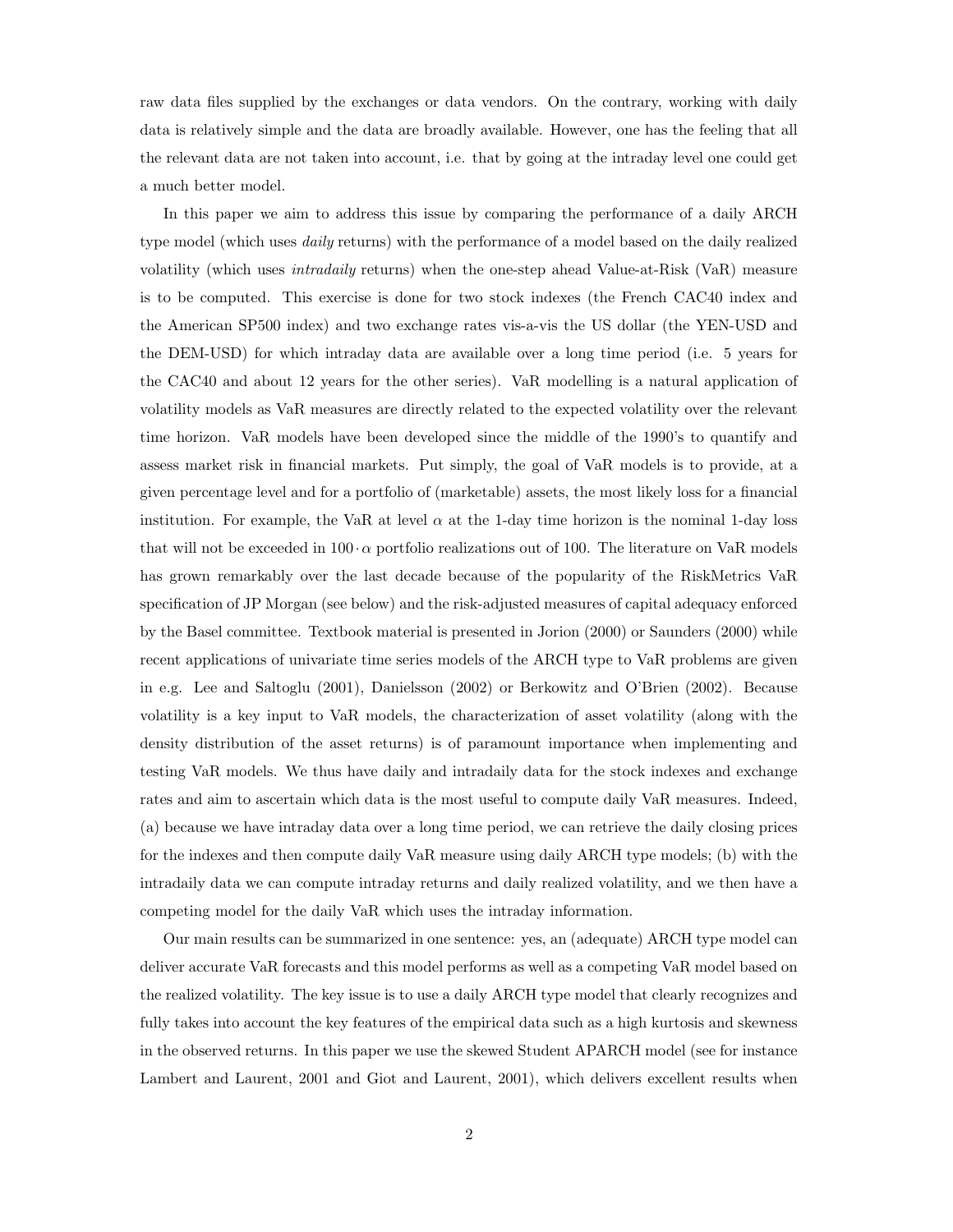raw data files supplied by the exchanges or data vendors. On the contrary, working with daily data is relatively simple and the data are broadly available. However, one has the feeling that all the relevant data are not taken into account, i.e. that by going at the intraday level one could get a much better model.

In this paper we aim to address this issue by comparing the performance of a daily ARCH type model (which uses *daily* returns) with the performance of a model based on the daily realized volatility (which uses intradaily returns) when the one-step ahead Value-at-Risk (VaR) measure is to be computed. This exercise is done for two stock indexes (the French CAC40 index and the American SP500 index) and two exchange rates vis-a-vis the US dollar (the YEN-USD and the DEM-USD) for which intraday data are available over a long time period (i.e. 5 years for the CAC40 and about 12 years for the other series). VaR modelling is a natural application of volatility models as VaR measures are directly related to the expected volatility over the relevant time horizon. VaR models have been developed since the middle of the 1990's to quantify and assess market risk in financial markets. Put simply, the goal of VaR models is to provide, at a given percentage level and for a portfolio of (marketable) assets, the most likely loss for a financial institution. For example, the VaR at level  $\alpha$  at the 1-day time horizon is the nominal 1-day loss that will not be exceeded in  $100 \cdot \alpha$  portfolio realizations out of 100. The literature on VaR models has grown remarkably over the last decade because of the popularity of the RiskMetrics VaR specification of JP Morgan (see below) and the risk-adjusted measures of capital adequacy enforced by the Basel committee. Textbook material is presented in Jorion (2000) or Saunders (2000) while recent applications of univariate time series models of the ARCH type to VaR problems are given in e.g. Lee and Saltoglu (2001), Danielsson (2002) or Berkowitz and O'Brien (2002). Because volatility is a key input to VaR models, the characterization of asset volatility (along with the density distribution of the asset returns) is of paramount importance when implementing and testing VaR models. We thus have daily and intradaily data for the stock indexes and exchange rates and aim to ascertain which data is the most useful to compute daily VaR measures. Indeed, (a) because we have intraday data over a long time period, we can retrieve the daily closing prices for the indexes and then compute daily VaR measure using daily ARCH type models; (b) with the intradaily data we can compute intraday returns and daily realized volatility, and we then have a competing model for the daily VaR which uses the intraday information.

Our main results can be summarized in one sentence: yes, an (adequate) ARCH type model can deliver accurate VaR forecasts and this model performs as well as a competing VaR model based on the realized volatility. The key issue is to use a daily ARCH type model that clearly recognizes and fully takes into account the key features of the empirical data such as a high kurtosis and skewness in the observed returns. In this paper we use the skewed Student APARCH model (see for instance Lambert and Laurent, 2001 and Giot and Laurent, 2001), which delivers excellent results when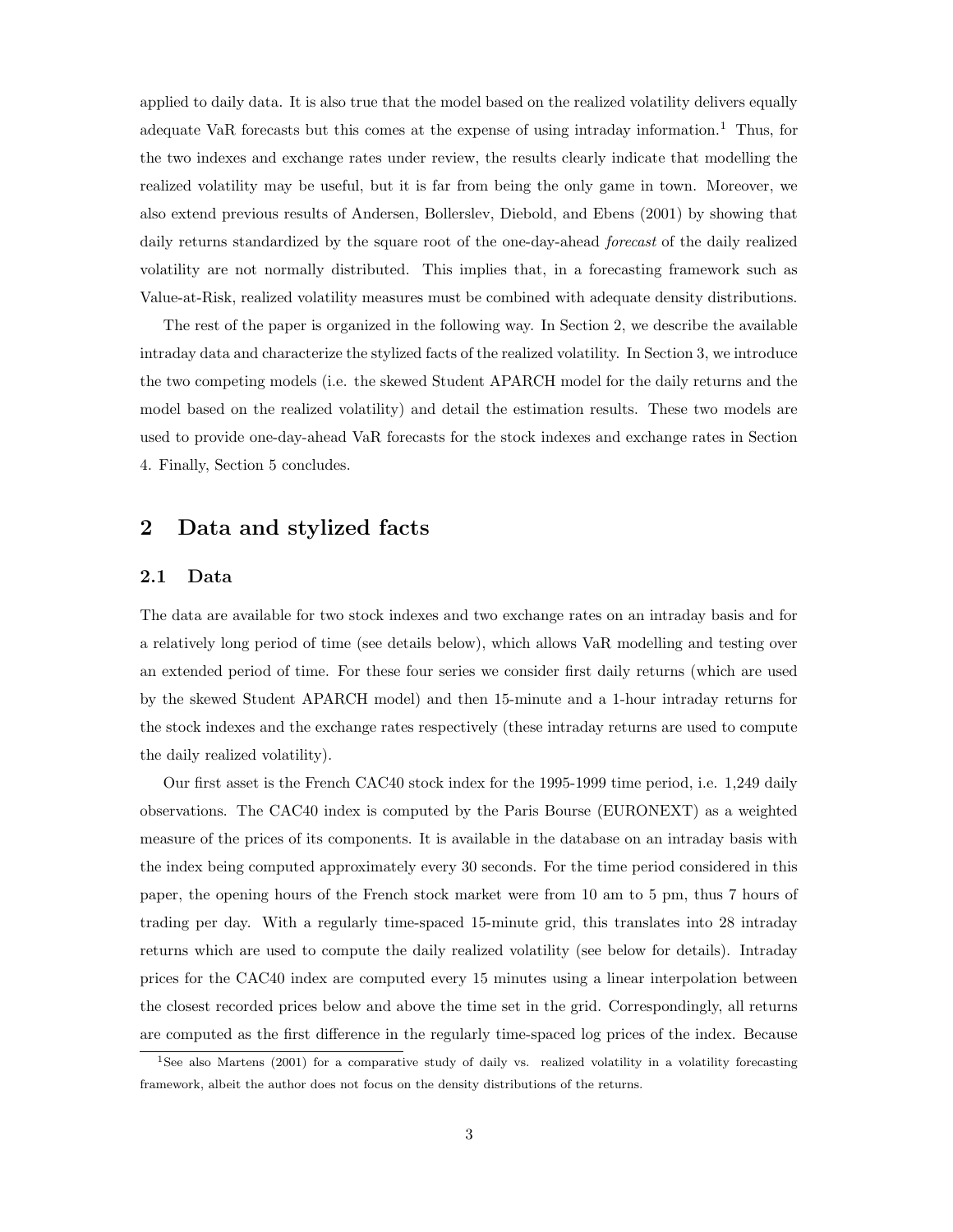applied to daily data. It is also true that the model based on the realized volatility delivers equally adequate VaR forecasts but this comes at the expense of using intraday information.<sup>1</sup> Thus, for the two indexes and exchange rates under review, the results clearly indicate that modelling the realized volatility may be useful, but it is far from being the only game in town. Moreover, we also extend previous results of Andersen, Bollerslev, Diebold, and Ebens (2001) by showing that daily returns standardized by the square root of the one-day-ahead *forecast* of the daily realized volatility are not normally distributed. This implies that, in a forecasting framework such as Value-at-Risk, realized volatility measures must be combined with adequate density distributions.

The rest of the paper is organized in the following way. In Section 2, we describe the available intraday data and characterize the stylized facts of the realized volatility. In Section 3, we introduce the two competing models (i.e. the skewed Student APARCH model for the daily returns and the model based on the realized volatility) and detail the estimation results. These two models are used to provide one-day-ahead VaR forecasts for the stock indexes and exchange rates in Section 4. Finally, Section 5 concludes.

## 2 Data and stylized facts

#### 2.1 Data

The data are available for two stock indexes and two exchange rates on an intraday basis and for a relatively long period of time (see details below), which allows VaR modelling and testing over an extended period of time. For these four series we consider first daily returns (which are used by the skewed Student APARCH model) and then 15-minute and a 1-hour intraday returns for the stock indexes and the exchange rates respectively (these intraday returns are used to compute the daily realized volatility).

Our first asset is the French CAC40 stock index for the 1995-1999 time period, i.e. 1,249 daily observations. The CAC40 index is computed by the Paris Bourse (EURONEXT) as a weighted measure of the prices of its components. It is available in the database on an intraday basis with the index being computed approximately every 30 seconds. For the time period considered in this paper, the opening hours of the French stock market were from 10 am to 5 pm, thus 7 hours of trading per day. With a regularly time-spaced 15-minute grid, this translates into 28 intraday returns which are used to compute the daily realized volatility (see below for details). Intraday prices for the CAC40 index are computed every 15 minutes using a linear interpolation between the closest recorded prices below and above the time set in the grid. Correspondingly, all returns are computed as the first difference in the regularly time-spaced log prices of the index. Because

<sup>&</sup>lt;sup>1</sup>See also Martens (2001) for a comparative study of daily vs. realized volatility in a volatility forecasting framework, albeit the author does not focus on the density distributions of the returns.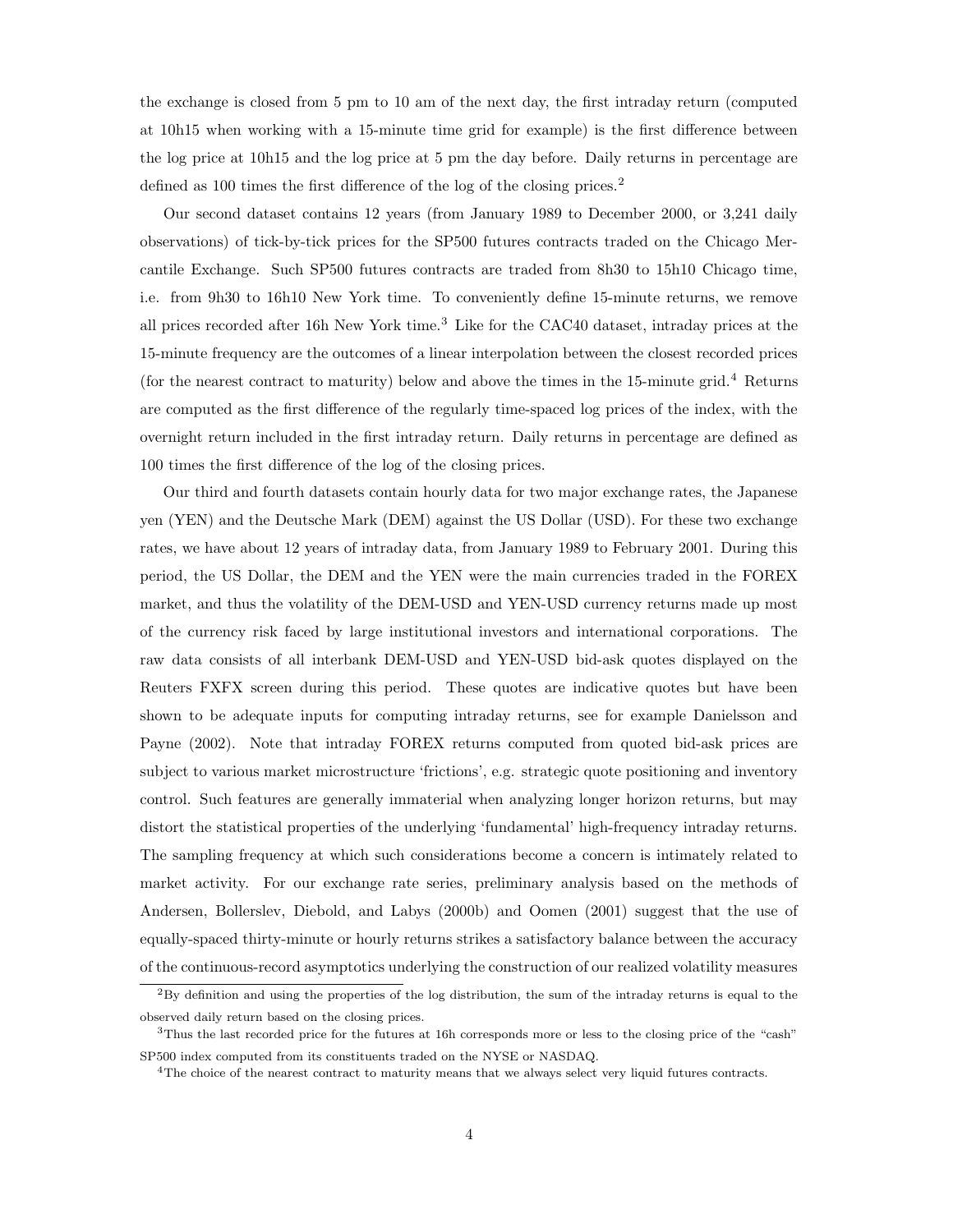the exchange is closed from 5 pm to 10 am of the next day, the first intraday return (computed at 10h15 when working with a 15-minute time grid for example) is the first difference between the log price at 10h15 and the log price at 5 pm the day before. Daily returns in percentage are defined as 100 times the first difference of the log of the closing prices.<sup>2</sup>

Our second dataset contains 12 years (from January 1989 to December 2000, or 3,241 daily observations) of tick-by-tick prices for the SP500 futures contracts traded on the Chicago Mercantile Exchange. Such SP500 futures contracts are traded from 8h30 to 15h10 Chicago time, i.e. from 9h30 to 16h10 New York time. To conveniently define 15-minute returns, we remove all prices recorded after 16h New York time.<sup>3</sup> Like for the CAC40 dataset, intraday prices at the 15-minute frequency are the outcomes of a linear interpolation between the closest recorded prices (for the nearest contract to maturity) below and above the times in the 15-minute grid.<sup>4</sup> Returns are computed as the first difference of the regularly time-spaced log prices of the index, with the overnight return included in the first intraday return. Daily returns in percentage are defined as 100 times the first difference of the log of the closing prices.

Our third and fourth datasets contain hourly data for two major exchange rates, the Japanese yen (YEN) and the Deutsche Mark (DEM) against the US Dollar (USD). For these two exchange rates, we have about 12 years of intraday data, from January 1989 to February 2001. During this period, the US Dollar, the DEM and the YEN were the main currencies traded in the FOREX market, and thus the volatility of the DEM-USD and YEN-USD currency returns made up most of the currency risk faced by large institutional investors and international corporations. The raw data consists of all interbank DEM-USD and YEN-USD bid-ask quotes displayed on the Reuters FXFX screen during this period. These quotes are indicative quotes but have been shown to be adequate inputs for computing intraday returns, see for example Danielsson and Payne (2002). Note that intraday FOREX returns computed from quoted bid-ask prices are subject to various market microstructure 'frictions', e.g. strategic quote positioning and inventory control. Such features are generally immaterial when analyzing longer horizon returns, but may distort the statistical properties of the underlying 'fundamental' high-frequency intraday returns. The sampling frequency at which such considerations become a concern is intimately related to market activity. For our exchange rate series, preliminary analysis based on the methods of Andersen, Bollerslev, Diebold, and Labys (2000b) and Oomen (2001) suggest that the use of equally-spaced thirty-minute or hourly returns strikes a satisfactory balance between the accuracy of the continuous-record asymptotics underlying the construction of our realized volatility measures

 ${}^{2}$ By definition and using the properties of the log distribution, the sum of the intraday returns is equal to the observed daily return based on the closing prices.

<sup>3</sup>Thus the last recorded price for the futures at 16h corresponds more or less to the closing price of the "cash" SP500 index computed from its constituents traded on the NYSE or NASDAQ.

<sup>4</sup>The choice of the nearest contract to maturity means that we always select very liquid futures contracts.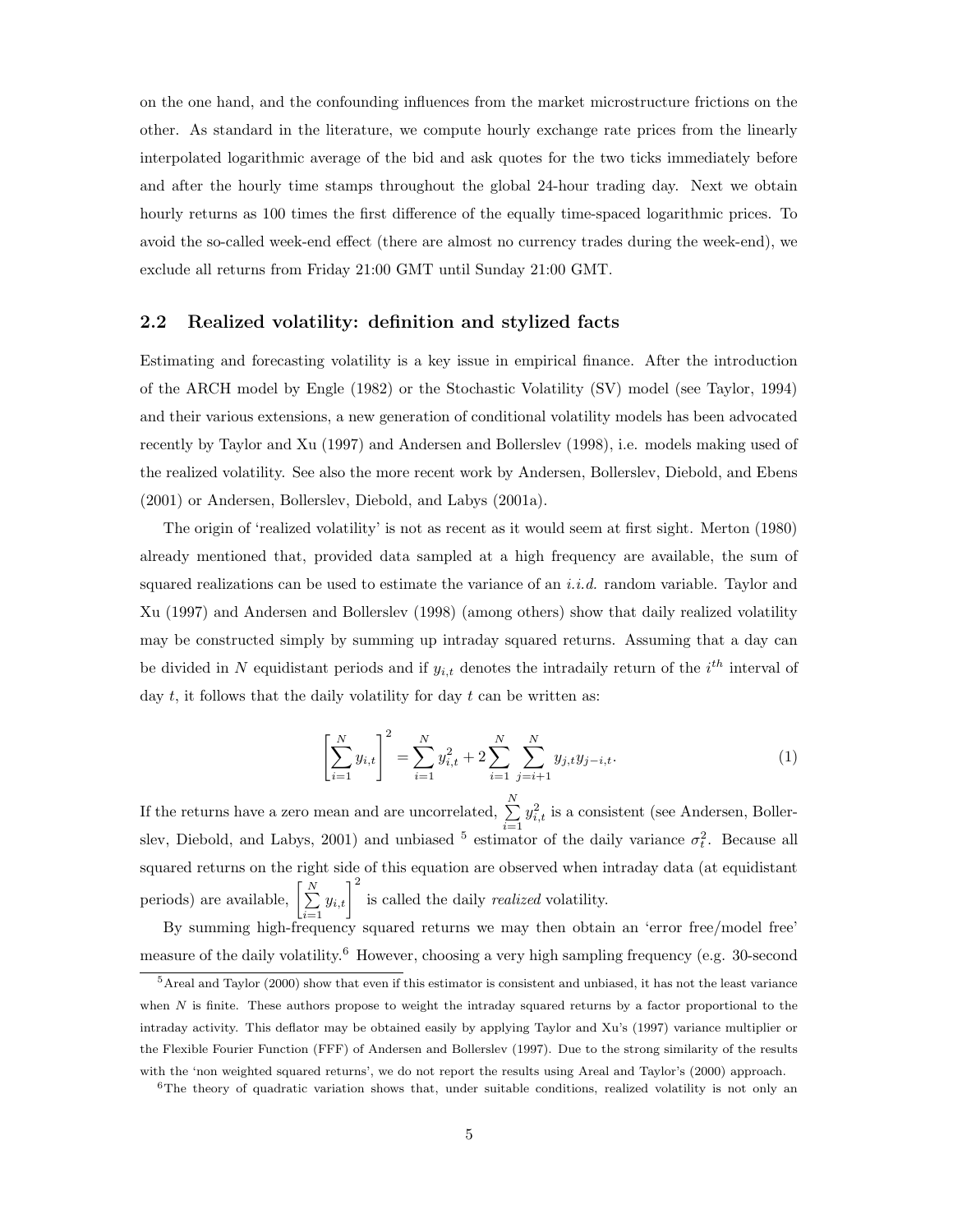on the one hand, and the confounding influences from the market microstructure frictions on the other. As standard in the literature, we compute hourly exchange rate prices from the linearly interpolated logarithmic average of the bid and ask quotes for the two ticks immediately before and after the hourly time stamps throughout the global 24-hour trading day. Next we obtain hourly returns as 100 times the first difference of the equally time-spaced logarithmic prices. To avoid the so-called week-end effect (there are almost no currency trades during the week-end), we exclude all returns from Friday 21:00 GMT until Sunday 21:00 GMT.

#### 2.2 Realized volatility: definition and stylized facts

Estimating and forecasting volatility is a key issue in empirical finance. After the introduction of the ARCH model by Engle (1982) or the Stochastic Volatility (SV) model (see Taylor, 1994) and their various extensions, a new generation of conditional volatility models has been advocated recently by Taylor and Xu (1997) and Andersen and Bollerslev (1998), i.e. models making used of the realized volatility. See also the more recent work by Andersen, Bollerslev, Diebold, and Ebens (2001) or Andersen, Bollerslev, Diebold, and Labys (2001a).

The origin of 'realized volatility' is not as recent as it would seem at first sight. Merton (1980) already mentioned that, provided data sampled at a high frequency are available, the sum of squared realizations can be used to estimate the variance of an i.i.d. random variable. Taylor and Xu (1997) and Andersen and Bollerslev (1998) (among others) show that daily realized volatility may be constructed simply by summing up intraday squared returns. Assuming that a day can be divided in N equidistant periods and if  $y_{i,t}$  denotes the intradaily return of the  $i^{th}$  interval of day  $t$ , it follows that the daily volatility for day  $t$  can be written as:

$$
\left[\sum_{i=1}^{N} y_{i,t}\right]^2 = \sum_{i=1}^{N} y_{i,t}^2 + 2\sum_{i=1}^{N} \sum_{j=i+1}^{N} y_{j,t} y_{j-i,t}.
$$
 (1)

If the returns have a zero mean and are uncorrelated,  $\sum_{n=1}^{N}$  $i=1$  $y_{i,t}^2$  is a consistent (see Andersen, Bollerslev, Diebold, and Labys, 2001) and unbiased <sup>5</sup> estimator of the daily variance  $\sigma_t^2$ . Because all squared returns on the right side of this equation are observed when intraday data (at equidistant periods) are available,  $\left[\sum_{i=1}^{N}\right]$  $\sum_{i=1}^{N} y_{i,t}$ <sup>2</sup> is called the daily *realized* volatility.

By summing high-frequency squared returns we may then obtain an 'error free/model free' measure of the daily volatility.<sup>6</sup> However, choosing a very high sampling frequency (e.g. 30-second

<sup>5</sup>Areal and Taylor (2000) show that even if this estimator is consistent and unbiased, it has not the least variance when N is finite. These authors propose to weight the intraday squared returns by a factor proportional to the intraday activity. This deflator may be obtained easily by applying Taylor and Xu's (1997) variance multiplier or the Flexible Fourier Function (FFF) of Andersen and Bollerslev (1997). Due to the strong similarity of the results with the 'non weighted squared returns', we do not report the results using Areal and Taylor's (2000) approach.

<sup>&</sup>lt;sup>6</sup>The theory of quadratic variation shows that, under suitable conditions, realized volatility is not only an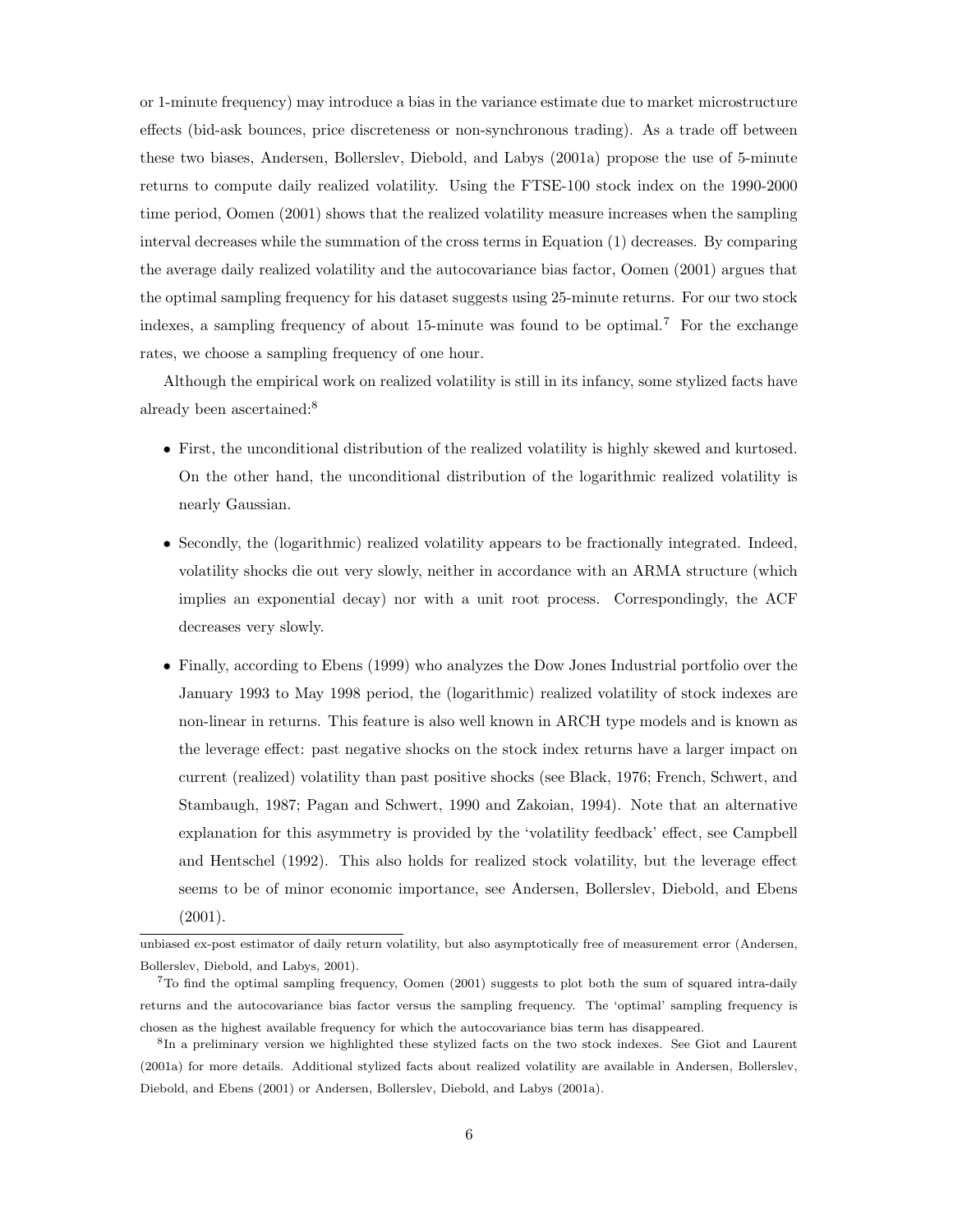or 1-minute frequency) may introduce a bias in the variance estimate due to market microstructure effects (bid-ask bounces, price discreteness or non-synchronous trading). As a trade off between these two biases, Andersen, Bollerslev, Diebold, and Labys (2001a) propose the use of 5-minute returns to compute daily realized volatility. Using the FTSE-100 stock index on the 1990-2000 time period, Oomen (2001) shows that the realized volatility measure increases when the sampling interval decreases while the summation of the cross terms in Equation (1) decreases. By comparing the average daily realized volatility and the autocovariance bias factor, Oomen (2001) argues that the optimal sampling frequency for his dataset suggests using 25-minute returns. For our two stock indexes, a sampling frequency of about 15-minute was found to be optimal.<sup>7</sup> For the exchange rates, we choose a sampling frequency of one hour.

Although the empirical work on realized volatility is still in its infancy, some stylized facts have already been ascertained:<sup>8</sup>

- First, the unconditional distribution of the realized volatility is highly skewed and kurtosed. On the other hand, the unconditional distribution of the logarithmic realized volatility is nearly Gaussian.
- Secondly, the (logarithmic) realized volatility appears to be fractionally integrated. Indeed, volatility shocks die out very slowly, neither in accordance with an ARMA structure (which implies an exponential decay) nor with a unit root process. Correspondingly, the ACF decreases very slowly.
- Finally, according to Ebens (1999) who analyzes the Dow Jones Industrial portfolio over the January 1993 to May 1998 period, the (logarithmic) realized volatility of stock indexes are non-linear in returns. This feature is also well known in ARCH type models and is known as the leverage effect: past negative shocks on the stock index returns have a larger impact on current (realized) volatility than past positive shocks (see Black, 1976; French, Schwert, and Stambaugh, 1987; Pagan and Schwert, 1990 and Zakoian, 1994). Note that an alternative explanation for this asymmetry is provided by the 'volatility feedback' effect, see Campbell and Hentschel (1992). This also holds for realized stock volatility, but the leverage effect seems to be of minor economic importance, see Andersen, Bollerslev, Diebold, and Ebens (2001).

unbiased ex-post estimator of daily return volatility, but also asymptotically free of measurement error (Andersen, Bollerslev, Diebold, and Labys, 2001).

<sup>7</sup>To find the optimal sampling frequency, Oomen (2001) suggests to plot both the sum of squared intra-daily returns and the autocovariance bias factor versus the sampling frequency. The 'optimal' sampling frequency is chosen as the highest available frequency for which the autocovariance bias term has disappeared.

<sup>8</sup> In a preliminary version we highlighted these stylized facts on the two stock indexes. See Giot and Laurent (2001a) for more details. Additional stylized facts about realized volatility are available in Andersen, Bollerslev, Diebold, and Ebens (2001) or Andersen, Bollerslev, Diebold, and Labys (2001a).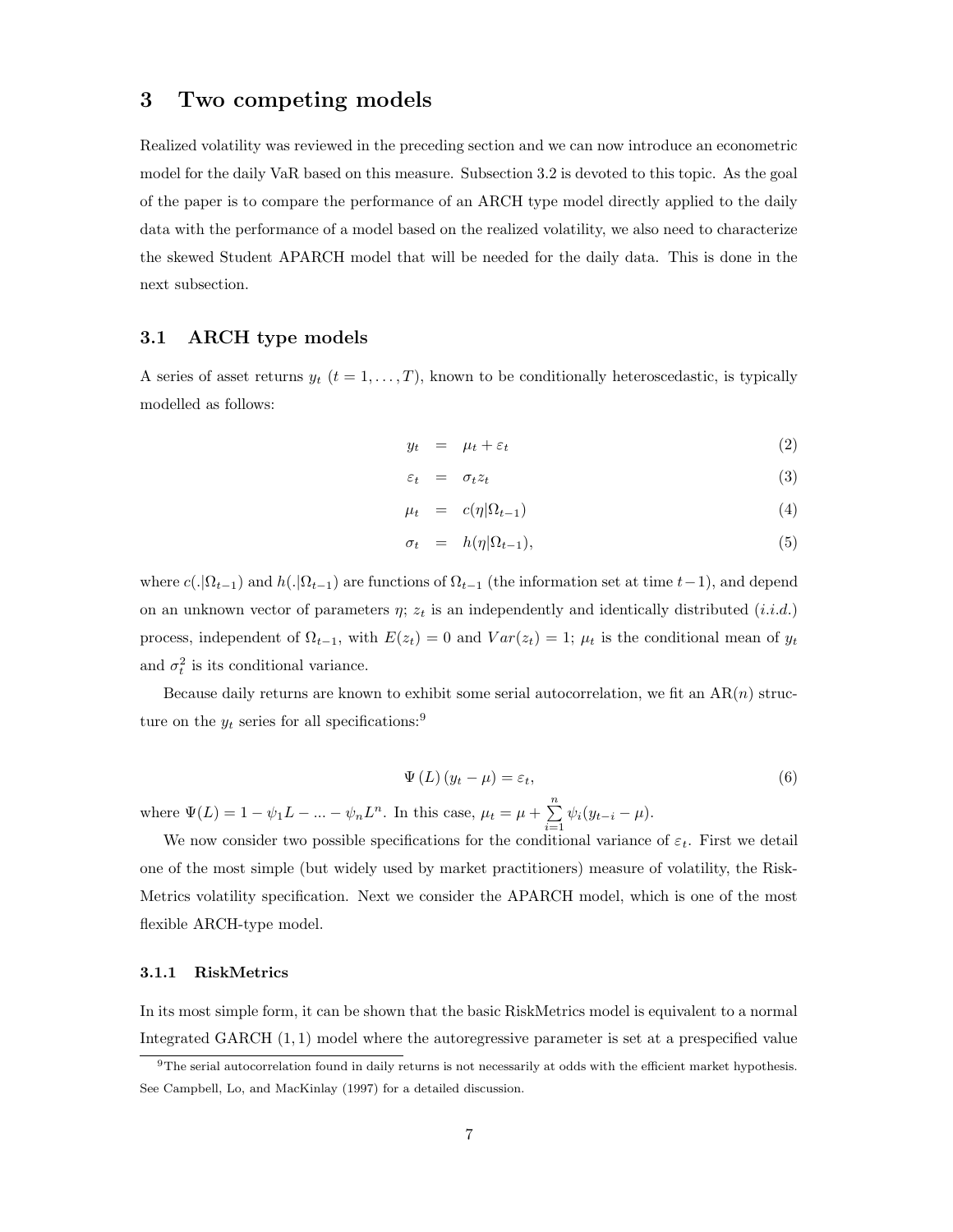## 3 Two competing models

Realized volatility was reviewed in the preceding section and we can now introduce an econometric model for the daily VaR based on this measure. Subsection 3.2 is devoted to this topic. As the goal of the paper is to compare the performance of an ARCH type model directly applied to the daily data with the performance of a model based on the realized volatility, we also need to characterize the skewed Student APARCH model that will be needed for the daily data. This is done in the next subsection.

#### 3.1 ARCH type models

A series of asset returns  $y_t$   $(t = 1, \ldots, T)$ , known to be conditionally heteroscedastic, is typically modelled as follows:

$$
y_t = \mu_t + \varepsilon_t \tag{2}
$$

$$
\varepsilon_t = \sigma_t z_t \tag{3}
$$

$$
\mu_t = c(\eta | \Omega_{t-1}) \tag{4}
$$

$$
\sigma_t = h(\eta | \Omega_{t-1}), \tag{5}
$$

where  $c(.|\Omega_{t-1})$  and  $h(.|\Omega_{t-1})$  are functions of  $\Omega_{t-1}$  (the information set at time  $t-1$ ), and depend on an unknown vector of parameters  $\eta$ ;  $z_t$  is an independently and identically distributed (*i.i.d.*) process, independent of  $\Omega_{t-1}$ , with  $E(z_t) = 0$  and  $Var(z_t) = 1$ ;  $\mu_t$  is the conditional mean of  $y_t$ and  $\sigma_t^2$  is its conditional variance.

Because daily returns are known to exhibit some serial autocorrelation, we fit an  $AR(n)$  structure on the  $y_t$  series for all specifications:<sup>9</sup>

$$
\Psi\left(L\right)\left(y_t - \mu\right) = \varepsilon_t,\tag{6}
$$

where  $\Psi(L) = 1 - \psi_1 L - \dots - \psi_n L^n$ . In this case,  $\mu_t = \mu + \sum_{i=1}^n$  $\sum_{i=1} \psi_i (y_{t-i} - \mu).$ 

We now consider two possible specifications for the conditional variance of  $\varepsilon_t$ . First we detail one of the most simple (but widely used by market practitioners) measure of volatility, the Risk-Metrics volatility specification. Next we consider the APARCH model, which is one of the most flexible ARCH-type model.

#### 3.1.1 RiskMetrics

In its most simple form, it can be shown that the basic RiskMetrics model is equivalent to a normal Integrated GARCH (1, 1) model where the autoregressive parameter is set at a prespecified value

<sup>9</sup>The serial autocorrelation found in daily returns is not necessarily at odds with the efficient market hypothesis. See Campbell, Lo, and MacKinlay (1997) for a detailed discussion.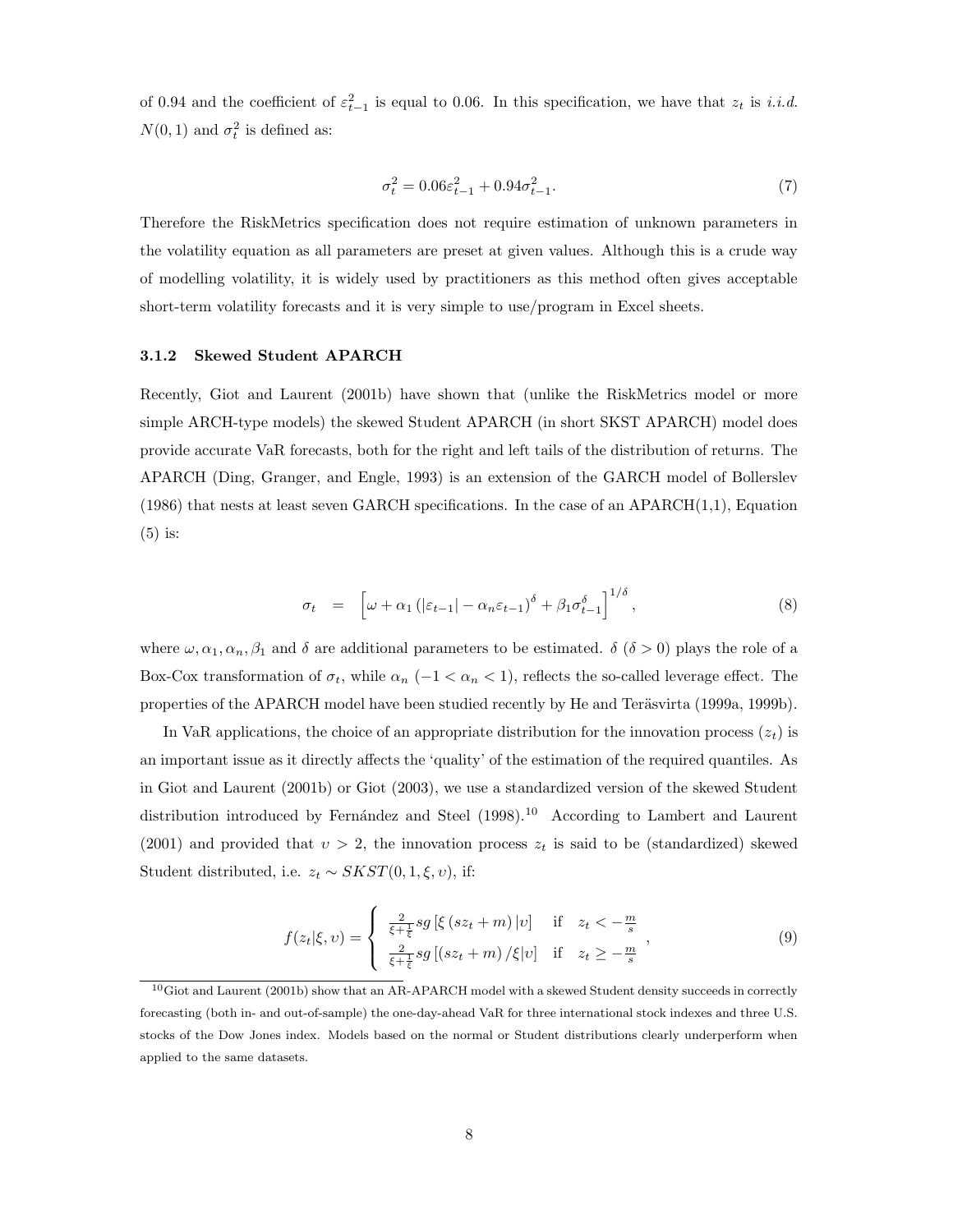of 0.94 and the coefficient of  $\varepsilon_{t-1}^2$  is equal to 0.06. In this specification, we have that  $z_t$  is i.i.d.  $N(0, 1)$  and  $\sigma_t^2$  is defined as:

$$
\sigma_t^2 = 0.06\varepsilon_{t-1}^2 + 0.94\sigma_{t-1}^2. \tag{7}
$$

Therefore the RiskMetrics specification does not require estimation of unknown parameters in the volatility equation as all parameters are preset at given values. Although this is a crude way of modelling volatility, it is widely used by practitioners as this method often gives acceptable short-term volatility forecasts and it is very simple to use/program in Excel sheets.

#### 3.1.2 Skewed Student APARCH

Recently, Giot and Laurent (2001b) have shown that (unlike the RiskMetrics model or more simple ARCH-type models) the skewed Student APARCH (in short SKST APARCH) model does provide accurate VaR forecasts, both for the right and left tails of the distribution of returns. The APARCH (Ding, Granger, and Engle, 1993) is an extension of the GARCH model of Bollerslev  $(1986)$  that nests at least seven GARCH specifications. In the case of an APARCH $(1,1)$ , Equation (5) is:

$$
\sigma_t = \left[ \omega + \alpha_1 \left( |\varepsilon_{t-1}| - \alpha_n \varepsilon_{t-1} \right)^{\delta} + \beta_1 \sigma_{t-1}^{\delta} \right]^{1/\delta}, \tag{8}
$$

where  $\omega, \alpha_1, \alpha_n, \beta_1$  and  $\delta$  are additional parameters to be estimated.  $\delta$  ( $\delta > 0$ ) plays the role of a Box-Cox transformation of  $\sigma_t$ , while  $\alpha_n$  (-1 <  $\alpha_n$  < 1), reflects the so-called leverage effect. The properties of the APARCH model have been studied recently by He and Teräsvirta (1999a, 1999b).

In VaR applications, the choice of an appropriate distribution for the innovation process  $(z_t)$  is an important issue as it directly affects the 'quality' of the estimation of the required quantiles. As in Giot and Laurent (2001b) or Giot (2003), we use a standardized version of the skewed Student distribution introduced by Fernández and Steel  $(1998).^{10}$  According to Lambert and Laurent (2001) and provided that  $v > 2$ , the innovation process  $z_t$  is said to be (standardized) skewed Student distributed, i.e.  $z_t \sim SKST(0, 1, \xi, v)$ , if:

$$
f(z_t|\xi, v) = \begin{cases} \frac{2}{\xi + \frac{1}{\xi}} sg\left[\xi\left(sz_t + m\right)|v\right] & \text{if } z_t < -\frac{m}{s} \\ \frac{2}{\xi + \frac{1}{\xi}} sg\left[\left(sz_t + m\right)/\xi|v\right] & \text{if } z_t \ge -\frac{m}{s} \end{cases}, \tag{9}
$$

<sup>&</sup>lt;sup>10</sup>Giot and Laurent (2001b) show that an AR-APARCH model with a skewed Student density succeeds in correctly forecasting (both in- and out-of-sample) the one-day-ahead VaR for three international stock indexes and three U.S. stocks of the Dow Jones index. Models based on the normal or Student distributions clearly underperform when applied to the same datasets.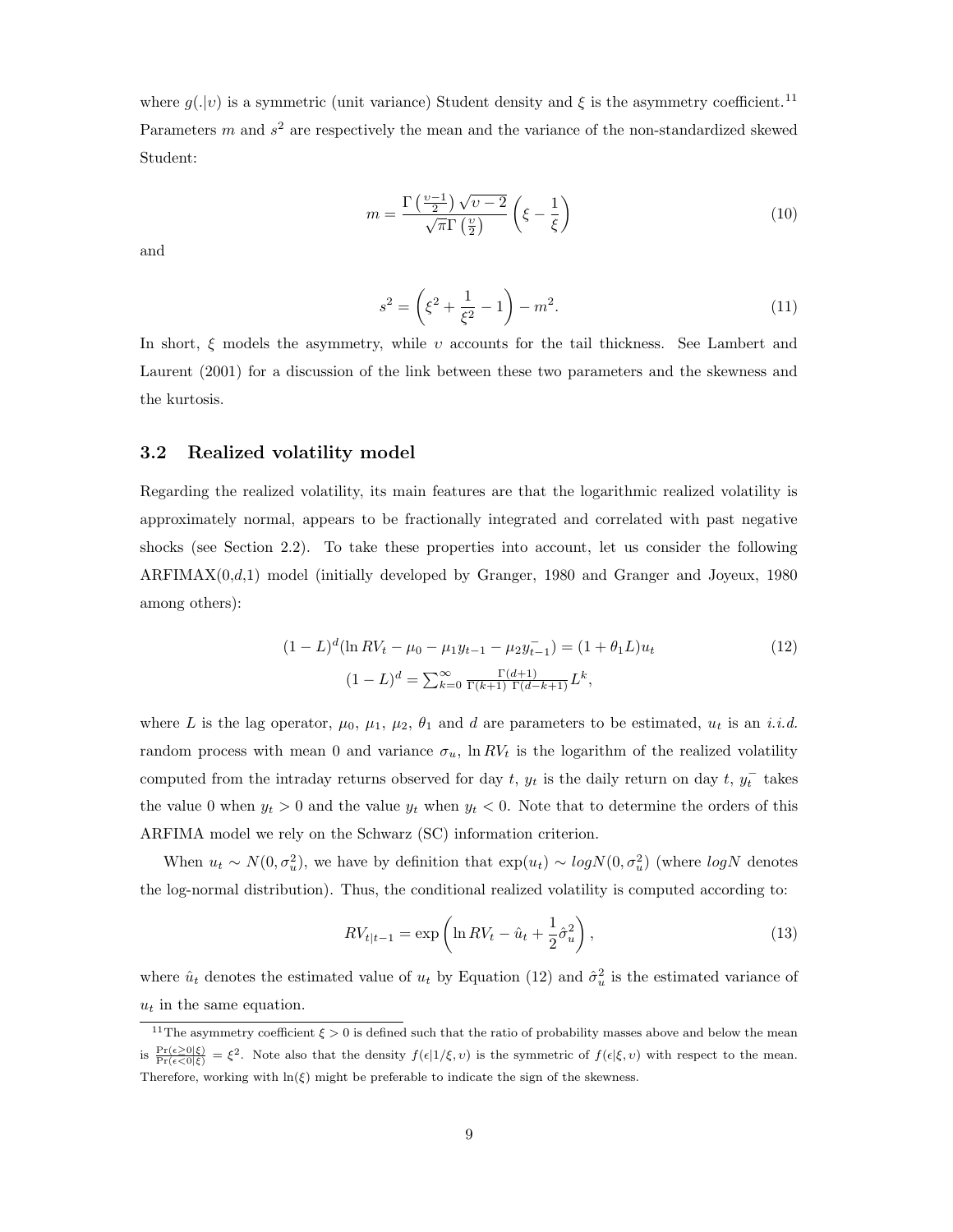where  $g(|v\rangle)$  is a symmetric (unit variance) Student density and  $\xi$  is the asymmetry coefficient.<sup>11</sup> Parameters  $m$  and  $s<sup>2</sup>$  are respectively the mean and the variance of the non-standardized skewed Student:

$$
m = \frac{\Gamma\left(\frac{\nu - 1}{2}\right)\sqrt{\nu - 2}}{\sqrt{\pi}\Gamma\left(\frac{\nu}{2}\right)} \left(\xi - \frac{1}{\xi}\right)
$$
\n(10)

and

$$
s^2 = \left(\xi^2 + \frac{1}{\xi^2} - 1\right) - m^2.
$$
 (11)

In short,  $\xi$  models the asymmetry, while v accounts for the tail thickness. See Lambert and Laurent (2001) for a discussion of the link between these two parameters and the skewness and the kurtosis.

#### 3.2 Realized volatility model

Regarding the realized volatility, its main features are that the logarithmic realized volatility is approximately normal, appears to be fractionally integrated and correlated with past negative shocks (see Section 2.2). To take these properties into account, let us consider the following  $ARFIMAX(0,d,1)$  model (initially developed by Granger, 1980 and Granger and Joyeux, 1980 among others):

$$
(1 - L)^d (\ln RV_t - \mu_0 - \mu_1 y_{t-1} - \mu_2 y_{t-1}^{-}) = (1 + \theta_1 L) u_t
$$
  

$$
(1 - L)^d = \sum_{k=0}^{\infty} \frac{\Gamma(d+1)}{\Gamma(k+1) \Gamma(d-k+1)} L^k,
$$
 (12)

where L is the lag operator,  $\mu_0$ ,  $\mu_1$ ,  $\mu_2$ ,  $\theta_1$  and d are parameters to be estimated,  $u_t$  is an *i.i.d.* random process with mean 0 and variance  $\sigma_u$ ,  $\ln RV_t$  is the logarithm of the realized volatility computed from the intraday returns observed for day t,  $y_t$  is the daily return on day t,  $y_t^-$  takes the value 0 when  $y_t > 0$  and the value  $y_t$  when  $y_t < 0$ . Note that to determine the orders of this ARFIMA model we rely on the Schwarz (SC) information criterion.

When  $u_t \sim N(0, \sigma_u^2)$ , we have by definition that  $\exp(u_t) \sim log N(0, \sigma_u^2)$  (where  $log N$  denotes the log-normal distribution). Thus, the conditional realized volatility is computed according to:

$$
RV_{t|t-1} = \exp\left(\ln RV_t - \hat{u}_t + \frac{1}{2}\hat{\sigma}_u^2\right),\tag{13}
$$

where  $\hat{u}_t$  denotes the estimated value of  $u_t$  by Equation (12) and  $\hat{\sigma}_u^2$  is the estimated variance of  $u_t$  in the same equation.

<sup>&</sup>lt;sup>11</sup>The asymmetry coefficient  $\xi > 0$  is defined such that the ratio of probability masses above and below the mean is  $\frac{\Pr(\epsilon \geq 0|\xi)}{\Pr(\epsilon \leq 0|\xi)} = \xi^2$ . Note also that the density  $f(\epsilon | 1/\xi, v)$  is the symmetric of  $f(\epsilon | \xi, v)$  with respect to the mean. Therefore, working with  $\ln(\xi)$  might be preferable to indicate the sign of the skewness.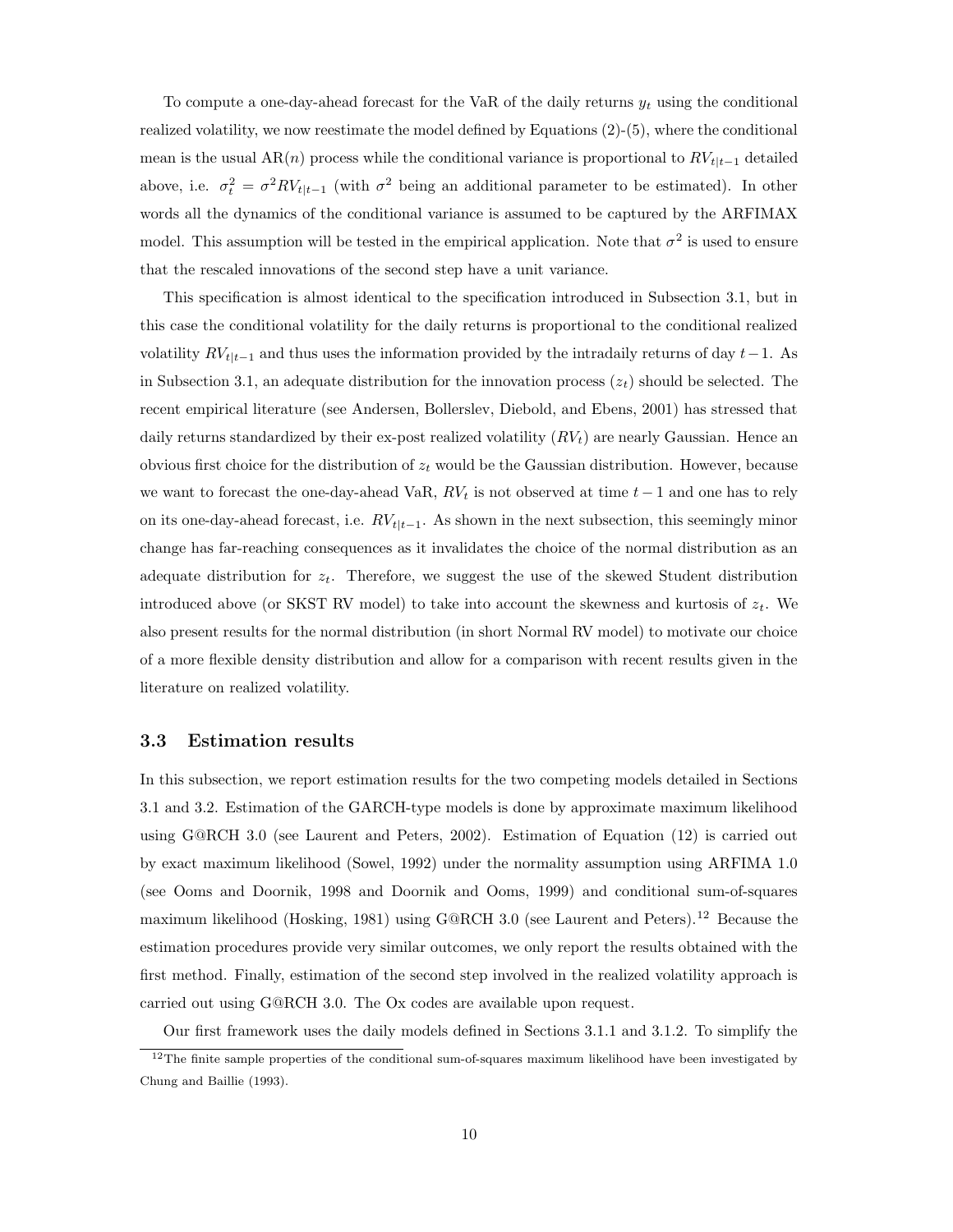To compute a one-day-ahead forecast for the VaR of the daily returns  $y_t$  using the conditional realized volatility, we now reestimate the model defined by Equations (2)-(5), where the conditional mean is the usual  $AR(n)$  process while the conditional variance is proportional to  $RV_{t|t-1}$  detailed above, i.e.  $\sigma_t^2 = \sigma^2 RV_{t|t-1}$  (with  $\sigma^2$  being an additional parameter to be estimated). In other words all the dynamics of the conditional variance is assumed to be captured by the ARFIMAX model. This assumption will be tested in the empirical application. Note that  $\sigma^2$  is used to ensure that the rescaled innovations of the second step have a unit variance.

This specification is almost identical to the specification introduced in Subsection 3.1, but in this case the conditional volatility for the daily returns is proportional to the conditional realized volatility  $RV_{t|t-1}$  and thus uses the information provided by the intradaily returns of day  $t-1$ . As in Subsection 3.1, an adequate distribution for the innovation process  $(z_t)$  should be selected. The recent empirical literature (see Andersen, Bollerslev, Diebold, and Ebens, 2001) has stressed that daily returns standardized by their ex-post realized volatility  $(RV_t)$  are nearly Gaussian. Hence an obvious first choice for the distribution of  $z_t$  would be the Gaussian distribution. However, because we want to forecast the one-day-ahead VaR,  $RV_t$  is not observed at time  $t-1$  and one has to rely on its one-day-ahead forecast, i.e.  $RV_{t|t-1}$ . As shown in the next subsection, this seemingly minor change has far-reaching consequences as it invalidates the choice of the normal distribution as an adequate distribution for  $z_t$ . Therefore, we suggest the use of the skewed Student distribution introduced above (or SKST RV model) to take into account the skewness and kurtosis of  $z_t$ . We also present results for the normal distribution (in short Normal RV model) to motivate our choice of a more flexible density distribution and allow for a comparison with recent results given in the literature on realized volatility.

#### 3.3 Estimation results

In this subsection, we report estimation results for the two competing models detailed in Sections 3.1 and 3.2. Estimation of the GARCH-type models is done by approximate maximum likelihood using G@RCH 3.0 (see Laurent and Peters, 2002). Estimation of Equation (12) is carried out by exact maximum likelihood (Sowel, 1992) under the normality assumption using ARFIMA 1.0 (see Ooms and Doornik, 1998 and Doornik and Ooms, 1999) and conditional sum-of-squares maximum likelihood (Hosking, 1981) using G@RCH 3.0 (see Laurent and Peters).<sup>12</sup> Because the estimation procedures provide very similar outcomes, we only report the results obtained with the first method. Finally, estimation of the second step involved in the realized volatility approach is carried out using G@RCH 3.0. The Ox codes are available upon request.

Our first framework uses the daily models defined in Sections 3.1.1 and 3.1.2. To simplify the

 $12$ The finite sample properties of the conditional sum-of-squares maximum likelihood have been investigated by Chung and Baillie (1993).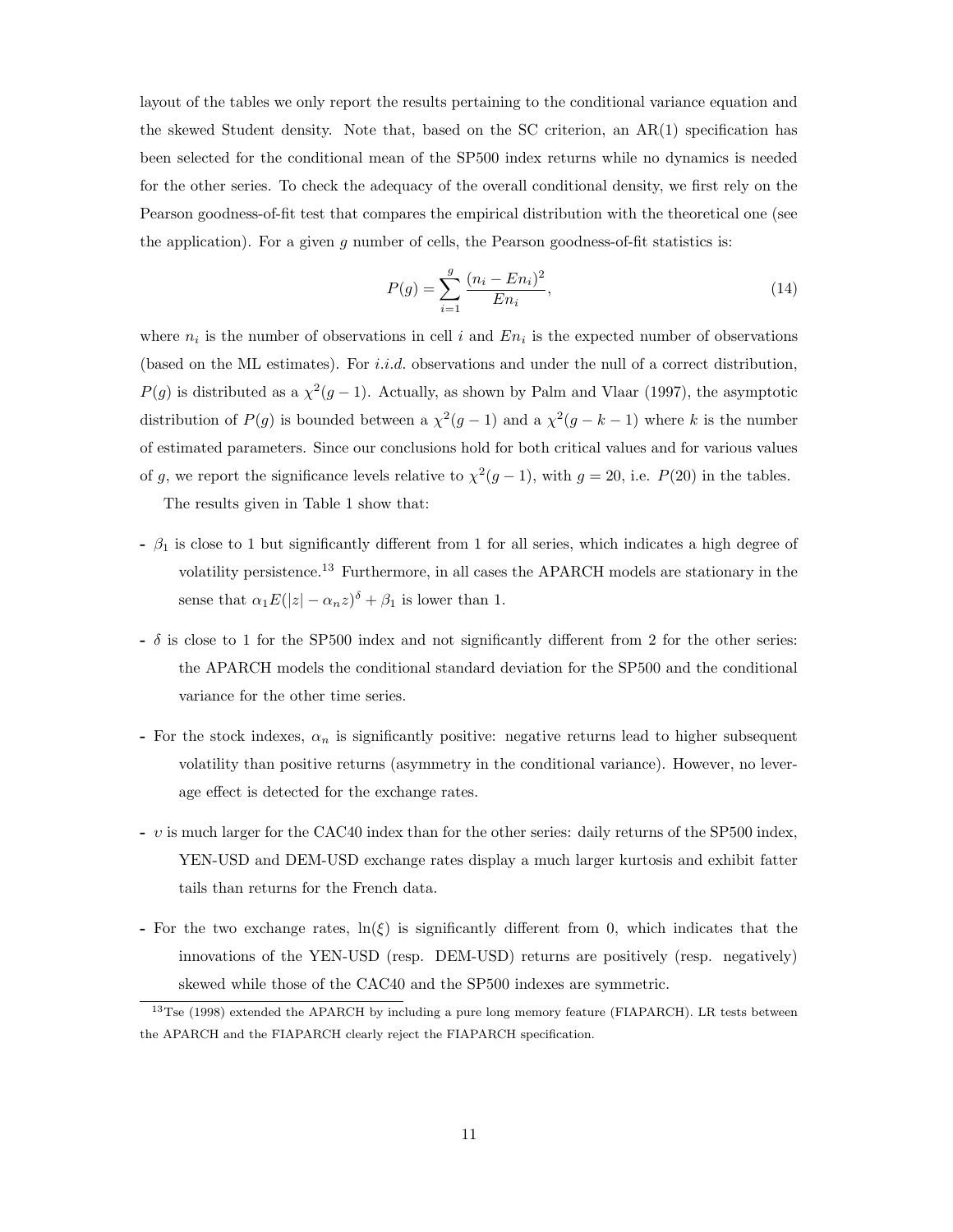layout of the tables we only report the results pertaining to the conditional variance equation and the skewed Student density. Note that, based on the SC criterion, an AR(1) specification has been selected for the conditional mean of the SP500 index returns while no dynamics is needed for the other series. To check the adequacy of the overall conditional density, we first rely on the Pearson goodness-of-fit test that compares the empirical distribution with the theoretical one (see the application). For a given q number of cells, the Pearson goodness-of-fit statistics is:

$$
P(g) = \sum_{i=1}^{g} \frac{(n_i - En_i)^2}{En_i},
$$
\n(14)

where  $n_i$  is the number of observations in cell i and  $En_i$  is the expected number of observations (based on the ML estimates). For *i.i.d.* observations and under the null of a correct distribution,  $P(g)$  is distributed as a  $\chi^2(g-1)$ . Actually, as shown by Palm and Vlaar (1997), the asymptotic distribution of  $P(g)$  is bounded between a  $\chi^2(g-1)$  and a  $\chi^2(g-k-1)$  where k is the number of estimated parameters. Since our conclusions hold for both critical values and for various values of g, we report the significance levels relative to  $\chi^2(g-1)$ , with  $g=20$ , i.e.  $P(20)$  in the tables.

The results given in Table 1 show that:

- $\beta_1$  is close to 1 but significantly different from 1 for all series, which indicates a high degree of volatility persistence.<sup>13</sup> Furthermore, in all cases the APARCH models are stationary in the sense that  $\alpha_1 E(|z| - \alpha_n z)^{\delta} + \beta_1$  is lower than 1.
- $\delta$  is close to 1 for the SP500 index and not significantly different from 2 for the other series: the APARCH models the conditional standard deviation for the SP500 and the conditional variance for the other time series.
- For the stock indexes,  $\alpha_n$  is significantly positive: negative returns lead to higher subsequent volatility than positive returns (asymmetry in the conditional variance). However, no leverage effect is detected for the exchange rates.
- $-$  v is much larger for the CAC40 index than for the other series: daily returns of the SP500 index, YEN-USD and DEM-USD exchange rates display a much larger kurtosis and exhibit fatter tails than returns for the French data.
- For the two exchange rates,  $\ln(\xi)$  is significantly different from 0, which indicates that the innovations of the YEN-USD (resp. DEM-USD) returns are positively (resp. negatively) skewed while those of the CAC40 and the SP500 indexes are symmetric.

<sup>&</sup>lt;sup>13</sup>Tse (1998) extended the APARCH by including a pure long memory feature (FIAPARCH). LR tests between the APARCH and the FIAPARCH clearly reject the FIAPARCH specification.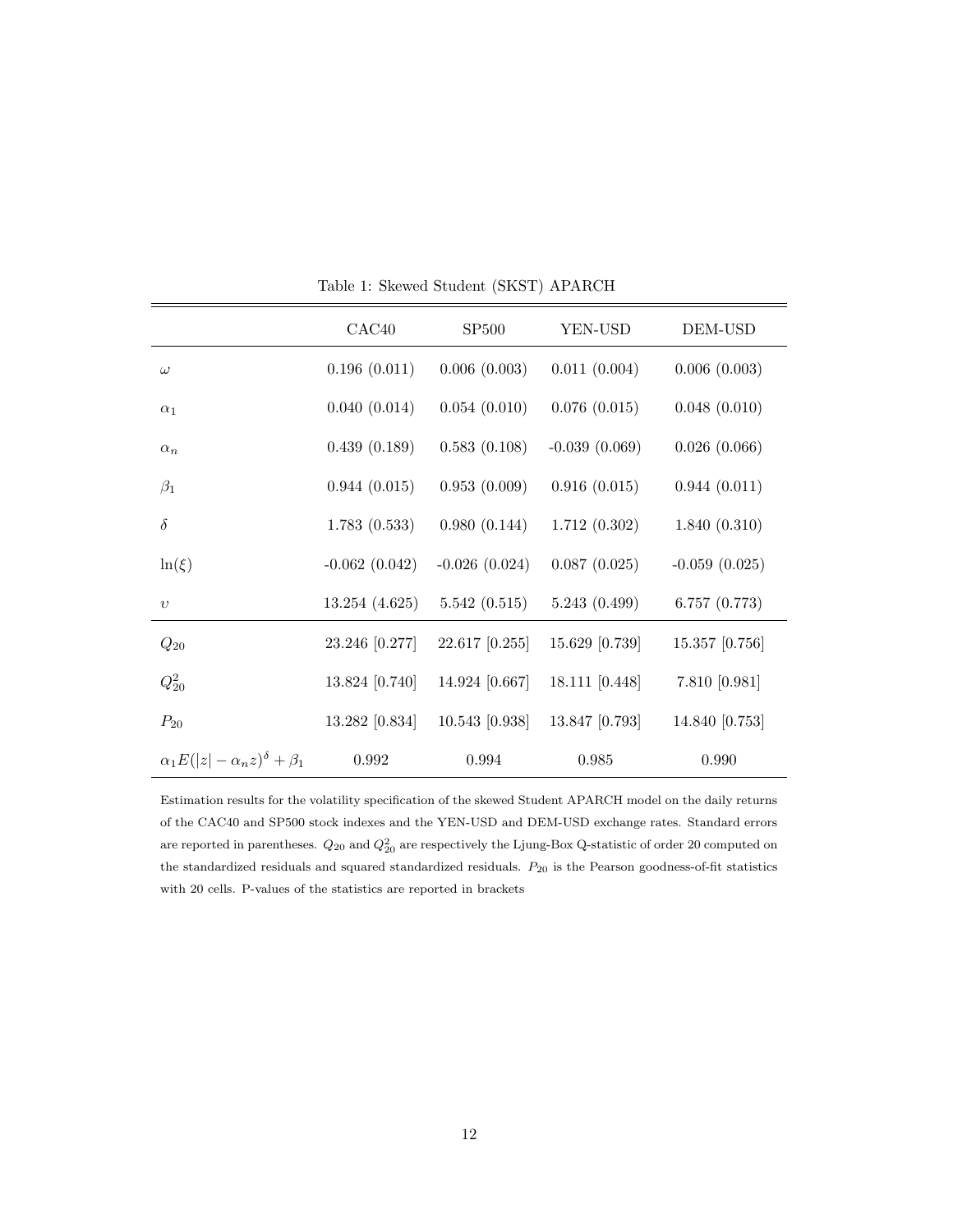|                                                   | CAC40           | <b>SP500</b>    | YEN-USD         | DEM-USD         |  |
|---------------------------------------------------|-----------------|-----------------|-----------------|-----------------|--|
| $\omega$                                          | 0.196(0.011)    | 0.006(0.003)    | 0.011(0.004)    | 0.006(0.003)    |  |
| $\alpha_1$                                        | 0.040(0.014)    | 0.054(0.010)    | 0.076(0.015)    | 0.048(0.010)    |  |
| $\alpha_n$                                        | 0.439(0.189)    | 0.583(0.108)    | $-0.039(0.069)$ | 0.026(0.066)    |  |
| $\beta_1$                                         | 0.944(0.015)    | 0.953(0.009)    | 0.916(0.015)    | 0.944(0.011)    |  |
| $\delta$                                          | 1.783(0.533)    | 0.980(0.144)    | 1.712(0.302)    | 1.840(0.310)    |  |
| $\ln(\xi)$                                        | $-0.062(0.042)$ | $-0.026(0.024)$ | 0.087(0.025)    | $-0.059(0.025)$ |  |
| $\upsilon$                                        | 13.254(4.625)   | 5.542(0.515)    | 5.243(0.499)    | 6.757(0.773)    |  |
| $Q_{20}$                                          | 23.246 [0.277]  | 22.617 [0.255]  | 15.629 [0.739]  | 15.357 [0.756]  |  |
| $Q_{20}^2$                                        | 13.824 [0.740]  | 14.924 [0.667]  | 18.111 [0.448]  | 7.810 [0.981]   |  |
| $P_{20}$                                          | 13.282 [0.834]  | 10.543 [0.938]  | 13.847 [0.793]  | 14.840 [0.753]  |  |
| $\alpha_1 E( z  - \alpha_n z)^{\delta} + \beta_1$ | 0.992           | 0.994           | 0.985           | 0.990           |  |

Table 1: Skewed Student (SKST) APARCH

Estimation results for the volatility specification of the skewed Student APARCH model on the daily returns of the CAC40 and SP500 stock indexes and the YEN-USD and DEM-USD exchange rates. Standard errors are reported in parentheses.  $Q_{20}$  and  $Q_{20}^2$  are respectively the Ljung-Box Q-statistic of order 20 computed on the standardized residuals and squared standardized residuals.  $P_{20}$  is the Pearson goodness-of-fit statistics with 20 cells. P-values of the statistics are reported in brackets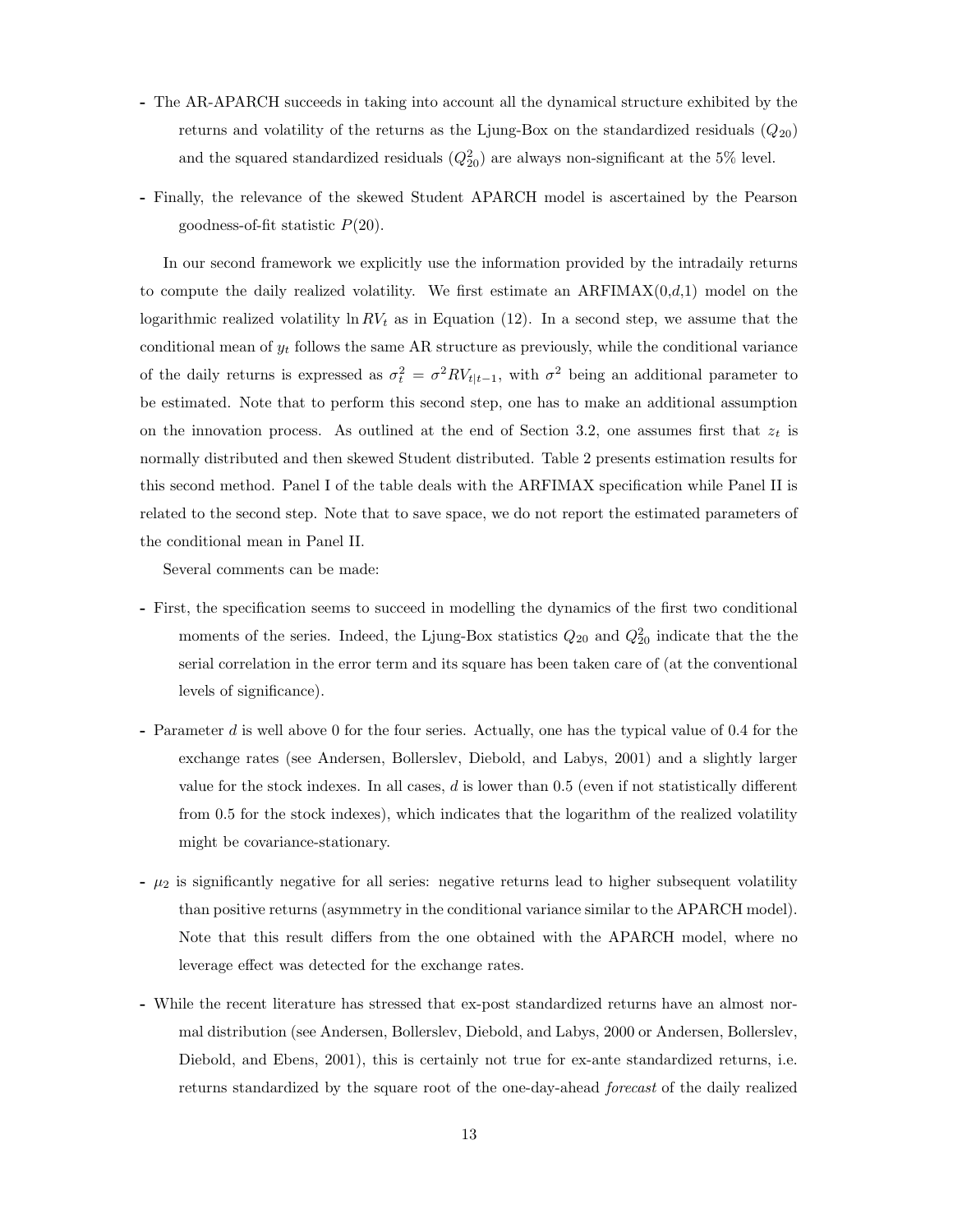- The AR-APARCH succeeds in taking into account all the dynamical structure exhibited by the returns and volatility of the returns as the Ljung-Box on the standardized residuals  $(Q_{20})$ and the squared standardized residuals  $(Q_{20}^2)$  are always non-significant at the 5% level.
- Finally, the relevance of the skewed Student APARCH model is ascertained by the Pearson goodness-of-fit statistic  $P(20)$ .

In our second framework we explicitly use the information provided by the intradaily returns to compute the daily realized volatility. We first estimate an  $ARFIMAX(0,d,1)$  model on the logarithmic realized volatility  $\ln RV_t$  as in Equation (12). In a second step, we assume that the conditional mean of  $y_t$  follows the same AR structure as previously, while the conditional variance of the daily returns is expressed as  $\sigma_t^2 = \sigma^2 R V_{t|t-1}$ , with  $\sigma^2$  being an additional parameter to be estimated. Note that to perform this second step, one has to make an additional assumption on the innovation process. As outlined at the end of Section 3.2, one assumes first that  $z_t$  is normally distributed and then skewed Student distributed. Table 2 presents estimation results for this second method. Panel I of the table deals with the ARFIMAX specification while Panel II is related to the second step. Note that to save space, we do not report the estimated parameters of the conditional mean in Panel II.

Several comments can be made:

- First, the specification seems to succeed in modelling the dynamics of the first two conditional moments of the series. Indeed, the Ljung-Box statistics  $Q_{20}$  and  $Q_{20}^2$  indicate that the the serial correlation in the error term and its square has been taken care of (at the conventional levels of significance).
- Parameter d is well above 0 for the four series. Actually, one has the typical value of 0.4 for the exchange rates (see Andersen, Bollerslev, Diebold, and Labys, 2001) and a slightly larger value for the stock indexes. In all cases,  $d$  is lower than 0.5 (even if not statistically different from 0.5 for the stock indexes), which indicates that the logarithm of the realized volatility might be covariance-stationary.
- $-\mu_2$  is significantly negative for all series: negative returns lead to higher subsequent volatility than positive returns (asymmetry in the conditional variance similar to the APARCH model). Note that this result differs from the one obtained with the APARCH model, where no leverage effect was detected for the exchange rates.
- While the recent literature has stressed that ex-post standardized returns have an almost normal distribution (see Andersen, Bollerslev, Diebold, and Labys, 2000 or Andersen, Bollerslev, Diebold, and Ebens, 2001), this is certainly not true for ex-ante standardized returns, i.e. returns standardized by the square root of the one-day-ahead forecast of the daily realized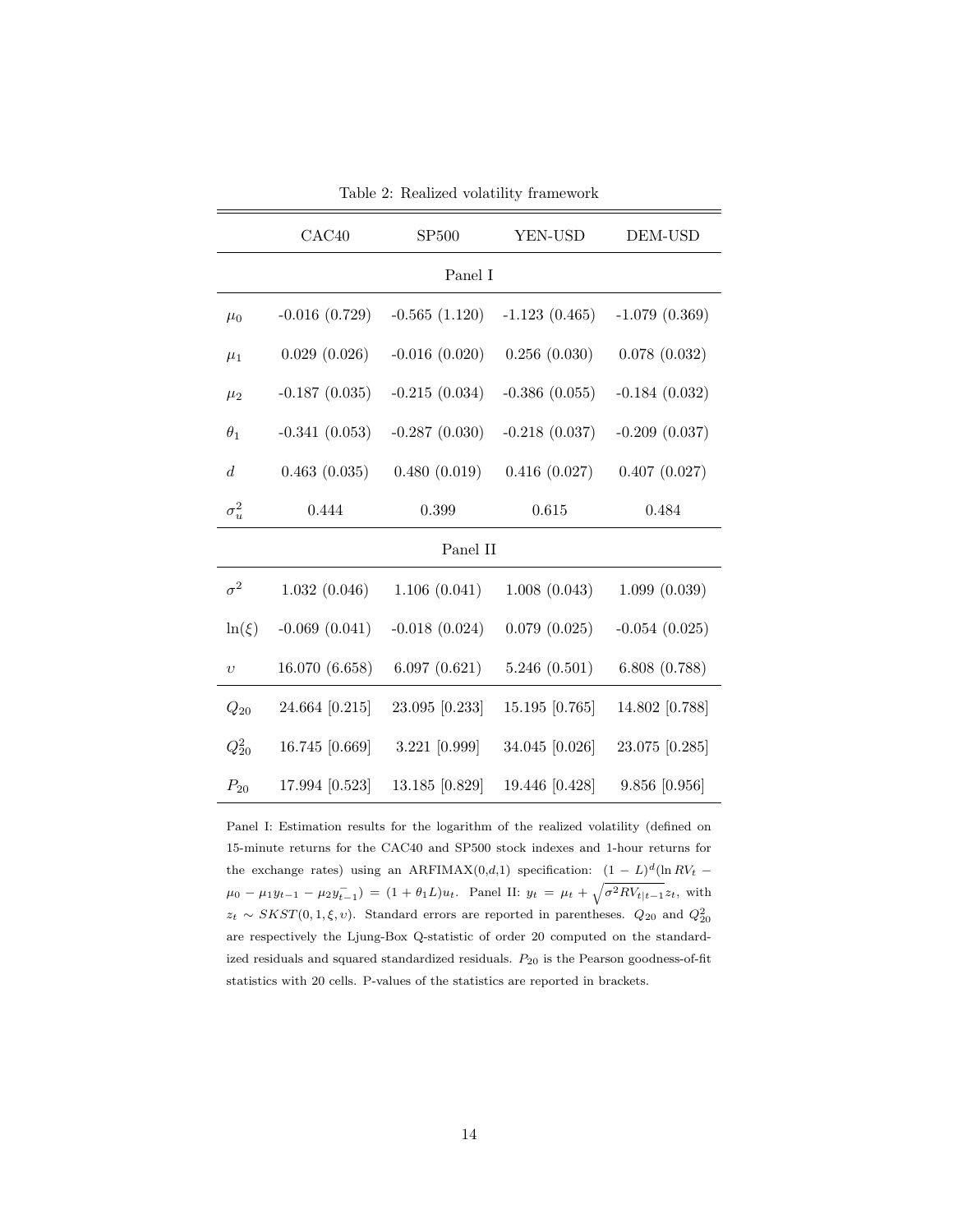|                  | CAC40<br><b>SP500</b> |                 | YEN-USD         | DEM-USD         |  |  |  |  |  |  |
|------------------|-----------------------|-----------------|-----------------|-----------------|--|--|--|--|--|--|
| Panel I          |                       |                 |                 |                 |  |  |  |  |  |  |
| $\mu_0$          | $-0.016(0.729)$       | $-0.565(1.120)$ | $-1.123(0.465)$ | $-1.079(0.369)$ |  |  |  |  |  |  |
| $\mu_1$          | 0.029(0.026)          | $-0.016(0.020)$ | 0.256(0.030)    | 0.078(0.032)    |  |  |  |  |  |  |
| $\mu_2$          | $-0.187(0.035)$       | $-0.215(0.034)$ | $-0.386(0.055)$ | $-0.184(0.032)$ |  |  |  |  |  |  |
| $\theta_1$       | $-0.341(0.053)$       | $-0.287(0.030)$ | $-0.218(0.037)$ | $-0.209(0.037)$ |  |  |  |  |  |  |
| $\boldsymbol{d}$ | 0.463(0.035)          | 0.480(0.019)    | 0.416(0.027)    | 0.407(0.027)    |  |  |  |  |  |  |
| $\sigma^2_u$     | 0.444                 | 0.399           | $0.615\,$       | 0.484           |  |  |  |  |  |  |
| Panel II         |                       |                 |                 |                 |  |  |  |  |  |  |
| $\sigma^2$       | 1.032(0.046)          | 1.106(0.041)    | 1.008(0.043)    | 1.099(0.039)    |  |  |  |  |  |  |
| $\ln(\xi)$       | $-0.069(0.041)$       | $-0.018(0.024)$ | 0.079(0.025)    | $-0.054(0.025)$ |  |  |  |  |  |  |
| $\upsilon$       | 16.070 (6.658)        | 6.097(0.621)    | 5.246(0.501)    | 6.808(0.788)    |  |  |  |  |  |  |
| $Q_{20}$         | 24.664 [0.215]        | 23.095 [0.233]  | 15.195 [0.765]  | 14.802 [0.788]  |  |  |  |  |  |  |
| $Q_{20}^2$       | 16.745 [0.669]        | 3.221 [0.999]   | 34.045 [0.026]  | 23.075 [0.285]  |  |  |  |  |  |  |
| $P_{20}$         | 17.994 [0.523]        | 13.185 [0.829]  | 19.446 [0.428]  | 9.856 [0.956]   |  |  |  |  |  |  |

Table 2: Realized volatility framework

Panel I: Estimation results for the logarithm of the realized volatility (defined on 15-minute returns for the CAC40 and SP500 stock indexes and 1-hour returns for the exchange rates) using an ARFIMAX $(0,d,1)$  specification:  $(1-L)^d(\ln RV_t \mu_0 - \mu_1 y_{t-1} - \mu_2 y_{t-1}^-) = (1 + \theta_1 L) u_t$ . Panel II:  $y_t = \mu_t + \sqrt{\sigma^2 R V_{t|t-1}} z_t$ , with  $z_t \sim SKST(0, 1, \xi, v)$ . Standard errors are reported in parentheses.  $Q_{20}$  and  $Q_{20}^2$ are respectively the Ljung-Box Q-statistic of order 20 computed on the standardized residuals and squared standardized residuals.  $P_{20}$  is the Pearson goodness-of-fit statistics with 20 cells. P-values of the statistics are reported in brackets.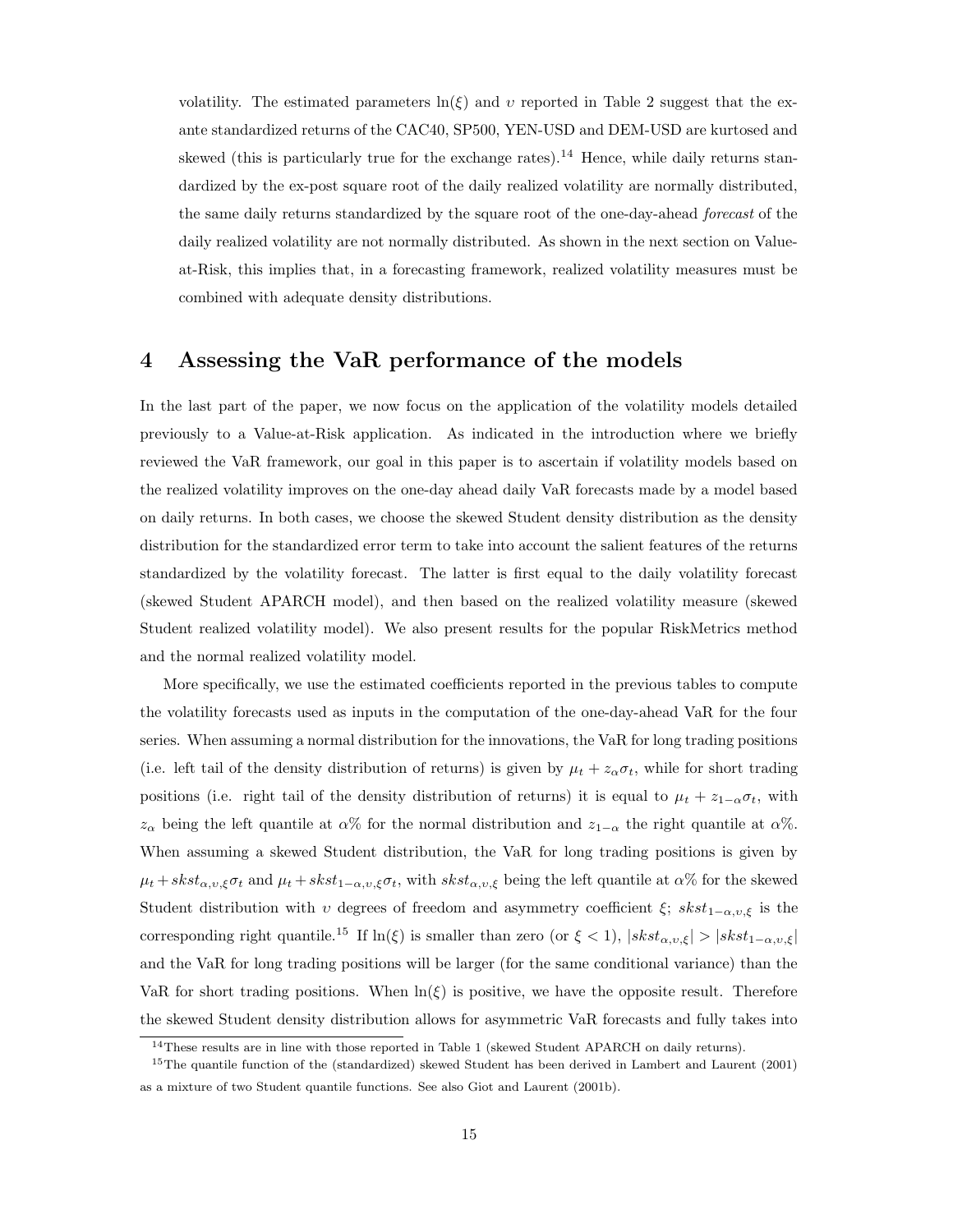volatility. The estimated parameters  $\ln(\xi)$  and v reported in Table 2 suggest that the exante standardized returns of the CAC40, SP500, YEN-USD and DEM-USD are kurtosed and skewed (this is particularly true for the exchange rates).<sup>14</sup> Hence, while daily returns standardized by the ex-post square root of the daily realized volatility are normally distributed, the same daily returns standardized by the square root of the one-day-ahead forecast of the daily realized volatility are not normally distributed. As shown in the next section on Valueat-Risk, this implies that, in a forecasting framework, realized volatility measures must be combined with adequate density distributions.

### 4 Assessing the VaR performance of the models

In the last part of the paper, we now focus on the application of the volatility models detailed previously to a Value-at-Risk application. As indicated in the introduction where we briefly reviewed the VaR framework, our goal in this paper is to ascertain if volatility models based on the realized volatility improves on the one-day ahead daily VaR forecasts made by a model based on daily returns. In both cases, we choose the skewed Student density distribution as the density distribution for the standardized error term to take into account the salient features of the returns standardized by the volatility forecast. The latter is first equal to the daily volatility forecast (skewed Student APARCH model), and then based on the realized volatility measure (skewed Student realized volatility model). We also present results for the popular RiskMetrics method and the normal realized volatility model.

More specifically, we use the estimated coefficients reported in the previous tables to compute the volatility forecasts used as inputs in the computation of the one-day-ahead VaR for the four series. When assuming a normal distribution for the innovations, the VaR for long trading positions (i.e. left tail of the density distribution of returns) is given by  $\mu_t + z_\alpha \sigma_t$ , while for short trading positions (i.e. right tail of the density distribution of returns) it is equal to  $\mu_t + z_{1-\alpha}\sigma_t$ , with  $z_{\alpha}$  being the left quantile at  $\alpha$ % for the normal distribution and  $z_{1-\alpha}$  the right quantile at  $\alpha$ %. When assuming a skewed Student distribution, the VaR for long trading positions is given by  $\mu_t + skst_{\alpha, \nu, \xi} \sigma_t$  and  $\mu_t + skst_{1-\alpha, \nu, \xi} \sigma_t$ , with  $skst_{\alpha, \nu, \xi}$  being the left quantile at  $\alpha$ % for the skewed Student distribution with v degrees of freedom and asymmetry coefficient  $\xi$ ; skst<sub>1-α,v, $\xi$ </sub> is the corresponding right quantile.<sup>15</sup> If ln( $\xi$ ) is smaller than zero (or  $\xi < 1$ ),  $|skst_{\alpha,\upsilon,\xi}| > |skst_{1-\alpha,\upsilon,\xi}|$ and the VaR for long trading positions will be larger (for the same conditional variance) than the VaR for short trading positions. When  $\ln(\xi)$  is positive, we have the opposite result. Therefore the skewed Student density distribution allows for asymmetric VaR forecasts and fully takes into

<sup>14</sup>These results are in line with those reported in Table 1 (skewed Student APARCH on daily returns).

<sup>&</sup>lt;sup>15</sup>The quantile function of the (standardized) skewed Student has been derived in Lambert and Laurent (2001) as a mixture of two Student quantile functions. See also Giot and Laurent (2001b).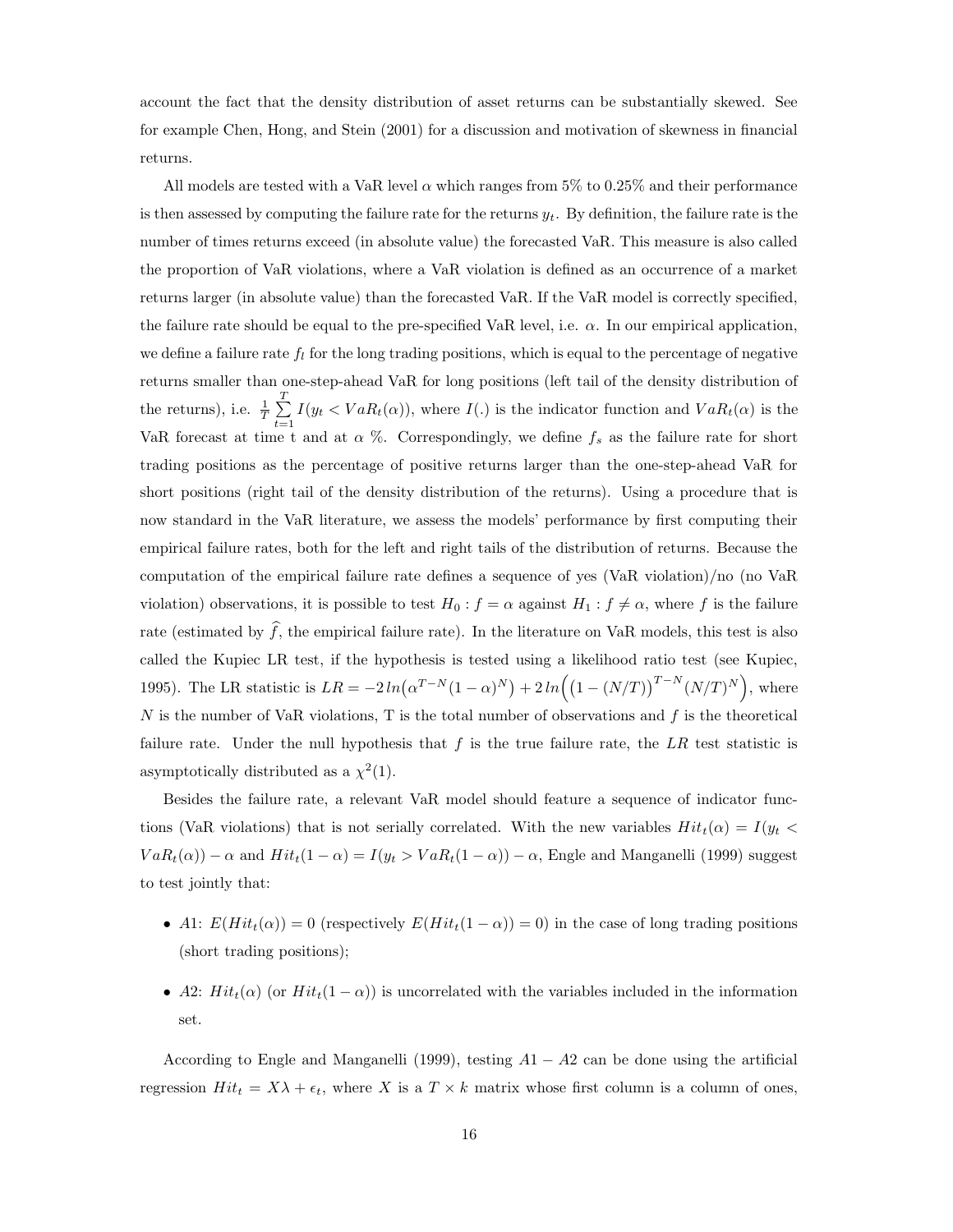account the fact that the density distribution of asset returns can be substantially skewed. See for example Chen, Hong, and Stein (2001) for a discussion and motivation of skewness in financial returns.

All models are tested with a VaR level  $\alpha$  which ranges from 5% to 0.25% and their performance is then assessed by computing the failure rate for the returns  $y_t$ . By definition, the failure rate is the number of times returns exceed (in absolute value) the forecasted VaR. This measure is also called the proportion of VaR violations, where a VaR violation is defined as an occurrence of a market returns larger (in absolute value) than the forecasted VaR. If the VaR model is correctly specified, the failure rate should be equal to the pre-specified VaR level, i.e.  $\alpha$ . In our empirical application, we define a failure rate  $f_l$  for the long trading positions, which is equal to the percentage of negative returns smaller than one-step-ahead VaR for long positions (left tail of the density distribution of the returns), i.e.  $\frac{1}{T} \sum_{n=1}^{T}$  $\sum_{t=1} I(y_t \langle VaR_t(\alpha) \rangle)$ , where  $I(.)$  is the indicator function and  $VaR_t(\alpha)$  is the VaR forecast at time t and at  $\alpha$  %. Correspondingly, we define  $f_s$  as the failure rate for short trading positions as the percentage of positive returns larger than the one-step-ahead VaR for short positions (right tail of the density distribution of the returns). Using a procedure that is now standard in the VaR literature, we assess the models' performance by first computing their empirical failure rates, both for the left and right tails of the distribution of returns. Because the computation of the empirical failure rate defines a sequence of yes (VaR violation)/no (no VaR violation) observations, it is possible to test  $H_0: f = \alpha$  against  $H_1: f \neq \alpha$ , where f is the failure rate (estimated by  $\hat{f}$ , the empirical failure rate). In the literature on VaR models, this test is also called the Kupiec LR test, if the hypothesis is tested using a likelihood ratio test (see Kupiec, 1995). The LR statistic is  $LR = -2\ln(\alpha^{T-N}(1-\alpha)^N) + 2\ln((1-(N/T))^{T-N}(N/T)^N)$ , where N is the number of VaR violations, T is the total number of observations and  $f$  is the theoretical failure rate. Under the null hypothesis that  $f$  is the true failure rate, the LR test statistic is asymptotically distributed as a  $\chi^2(1)$ .

Besides the failure rate, a relevant VaR model should feature a sequence of indicator functions (VaR violations) that is not serially correlated. With the new variables  $Hit_t(\alpha) = I(y_t \leq \alpha)$  $VaR_t(\alpha) - \alpha$  and  $Hit_t(1-\alpha) = I(y_t > VaR_t(1-\alpha)) - \alpha$ , Engle and Manganelli (1999) suggest to test jointly that:

- A1:  $E(Hit_t(\alpha)) = 0$  (respectively  $E(Hit_t(1 \alpha)) = 0$ ) in the case of long trading positions (short trading positions);
- A2:  $Hit_t(\alpha)$  (or  $Hit_t(1-\alpha)$ ) is uncorrelated with the variables included in the information set.

According to Engle and Manganelli (1999), testing  $A1 - A2$  can be done using the artificial regression  $Hit_t = X\lambda + \epsilon_t$ , where X is a  $T \times k$  matrix whose first column is a column of ones,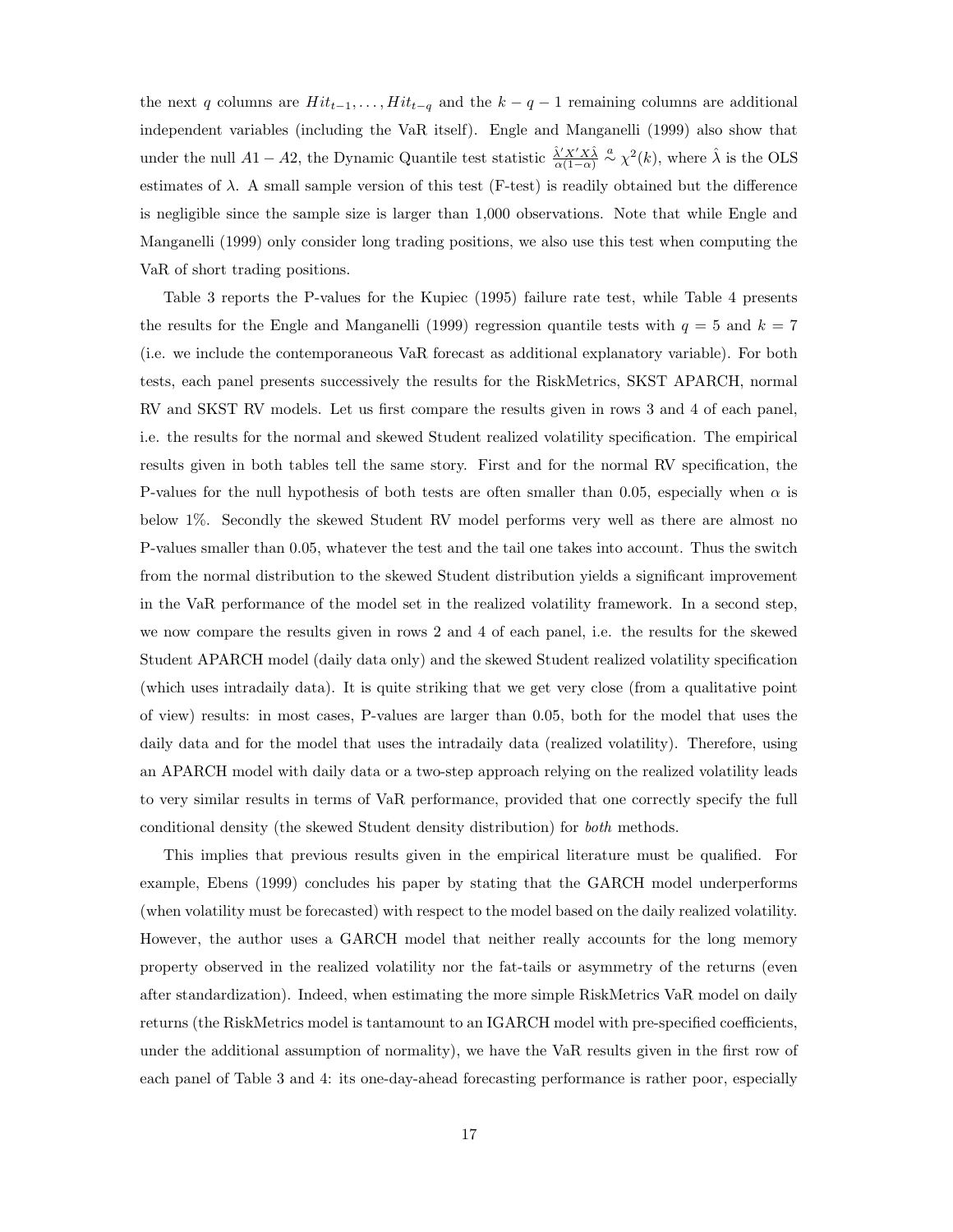the next q columns are  $Hit_{t-1}, \ldots, Hit_{t-q}$  and the  $k - q - 1$  remaining columns are additional independent variables (including the VaR itself). Engle and Manganelli (1999) also show that under the null  $A1 - A2$ , the Dynamic Quantile test statistic  $\frac{\hat{\lambda}' X' X \hat{\lambda}}{\alpha(1-\alpha)} \stackrel{a}{\sim} \chi^2(k)$ , where  $\hat{\lambda}$  is the OLS estimates of  $\lambda$ . A small sample version of this test (F-test) is readily obtained but the difference is negligible since the sample size is larger than 1,000 observations. Note that while Engle and Manganelli (1999) only consider long trading positions, we also use this test when computing the VaR of short trading positions.

Table 3 reports the P-values for the Kupiec (1995) failure rate test, while Table 4 presents the results for the Engle and Manganelli (1999) regression quantile tests with  $q = 5$  and  $k = 7$ (i.e. we include the contemporaneous VaR forecast as additional explanatory variable). For both tests, each panel presents successively the results for the RiskMetrics, SKST APARCH, normal RV and SKST RV models. Let us first compare the results given in rows 3 and 4 of each panel, i.e. the results for the normal and skewed Student realized volatility specification. The empirical results given in both tables tell the same story. First and for the normal RV specification, the P-values for the null hypothesis of both tests are often smaller than 0.05, especially when  $\alpha$  is below 1%. Secondly the skewed Student RV model performs very well as there are almost no P-values smaller than 0.05, whatever the test and the tail one takes into account. Thus the switch from the normal distribution to the skewed Student distribution yields a significant improvement in the VaR performance of the model set in the realized volatility framework. In a second step, we now compare the results given in rows 2 and 4 of each panel, i.e. the results for the skewed Student APARCH model (daily data only) and the skewed Student realized volatility specification (which uses intradaily data). It is quite striking that we get very close (from a qualitative point of view) results: in most cases, P-values are larger than 0.05, both for the model that uses the daily data and for the model that uses the intradaily data (realized volatility). Therefore, using an APARCH model with daily data or a two-step approach relying on the realized volatility leads to very similar results in terms of VaR performance, provided that one correctly specify the full conditional density (the skewed Student density distribution) for both methods.

This implies that previous results given in the empirical literature must be qualified. For example, Ebens (1999) concludes his paper by stating that the GARCH model underperforms (when volatility must be forecasted) with respect to the model based on the daily realized volatility. However, the author uses a GARCH model that neither really accounts for the long memory property observed in the realized volatility nor the fat-tails or asymmetry of the returns (even after standardization). Indeed, when estimating the more simple RiskMetrics VaR model on daily returns (the RiskMetrics model is tantamount to an IGARCH model with pre-specified coefficients, under the additional assumption of normality), we have the VaR results given in the first row of each panel of Table 3 and 4: its one-day-ahead forecasting performance is rather poor, especially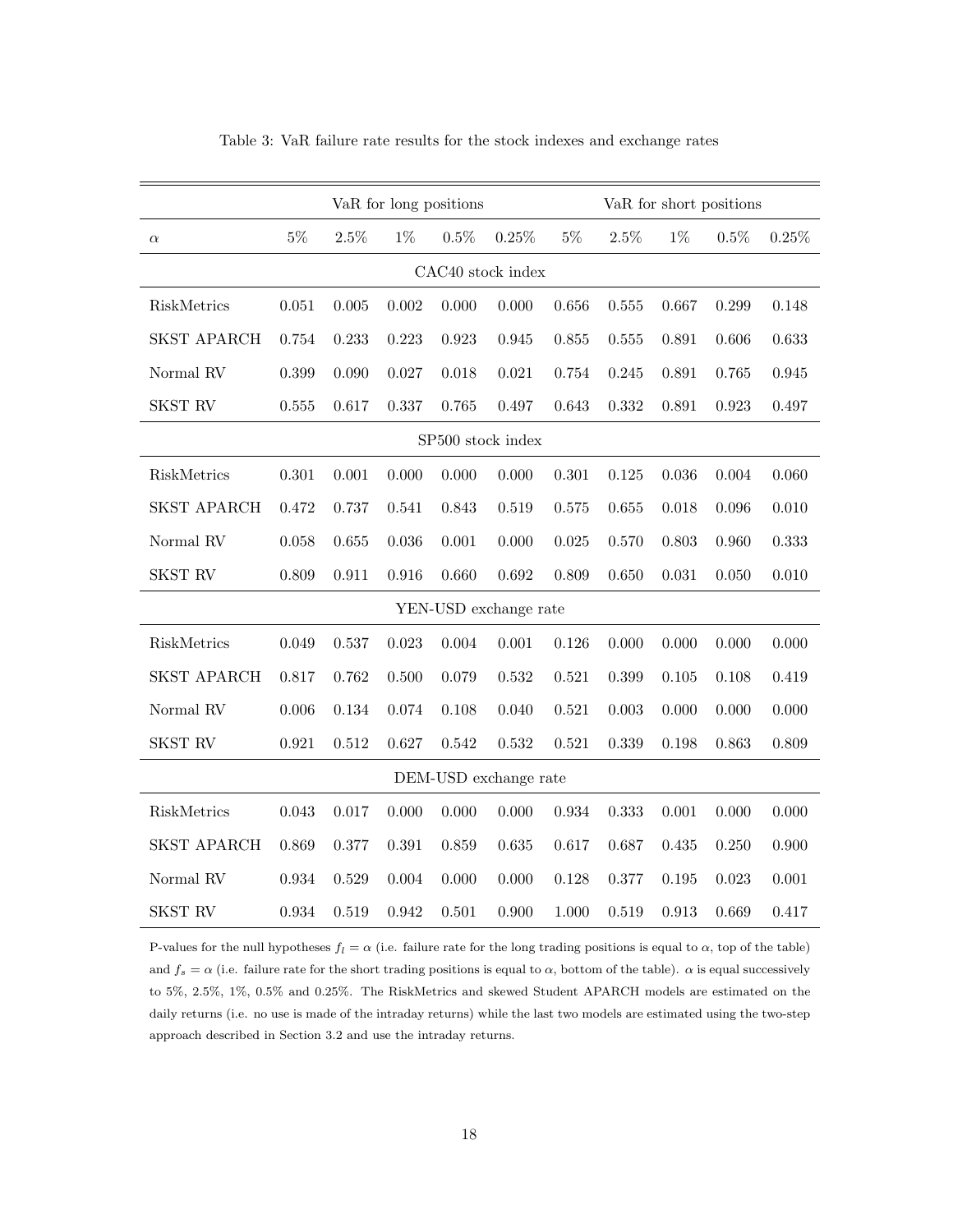|                       | VaR for long positions |           |           |         |                       | VaR for short positions |           |       |             |             |
|-----------------------|------------------------|-----------|-----------|---------|-----------------------|-------------------------|-----------|-------|-------------|-------------|
| $\alpha$              | $5\%$                  | $2.5\%$   | $1\%$     | $0.5\%$ | 0.25%                 | $5\%$                   | $2.5\%$   | $1\%$ | $0.5\%$     | 0.25%       |
| CAC40 stock index     |                        |           |           |         |                       |                         |           |       |             |             |
| RiskMetrics           | 0.051                  | 0.005     | 0.002     | 0.000   | 0.000                 | 0.656                   | 0.555     | 0.667 | 0.299       | 0.148       |
| <b>SKST APARCH</b>    | 0.754                  | 0.233     | 0.223     | 0.923   | 0.945                 | 0.855                   | 0.555     | 0.891 | 0.606       | 0.633       |
| Normal RV             | 0.399                  | 0.090     | 0.027     | 0.018   | 0.021                 | $0.754\,$               | 0.245     | 0.891 | 0.765       | $\,0.945\,$ |
| <b>SKST RV</b>        | 0.555                  | 0.617     | 0.337     | 0.765   | 0.497                 | 0.643                   | 0.332     | 0.891 | 0.923       | 0.497       |
| SP500 stock index     |                        |           |           |         |                       |                         |           |       |             |             |
| RiskMetrics           | 0.301                  | 0.001     | 0.000     | 0.000   | 0.000                 | 0.301                   | 0.125     | 0.036 | 0.004       | 0.060       |
| <b>SKST APARCH</b>    | 0.472                  | 0.737     | 0.541     | 0.843   | 0.519                 | $0.575\,$               | $0.655\,$ | 0.018 | $\,0.096\,$ | 0.010       |
| Normal RV             | 0.058                  | 0.655     | $0.036\,$ | 0.001   | 0.000                 | $0.025\,$               | 0.570     | 0.803 | 0.960       | 0.333       |
| SKST RV               | 0.809                  | 0.911     | 0.916     | 0.660   | 0.692                 | 0.809                   | 0.650     | 0.031 | 0.050       | 0.010       |
|                       |                        |           |           |         | YEN-USD exchange rate |                         |           |       |             |             |
| RiskMetrics           | 0.049                  | 0.537     | 0.023     | 0.004   | 0.001                 | 0.126                   | 0.000     | 0.000 | 0.000       | 0.000       |
| <b>SKST APARCH</b>    | 0.817                  | 0.762     | $0.500\,$ | 0.079   | 0.532                 | $\,0.521\,$             | $0.399\,$ | 0.105 | 0.108       | 0.419       |
| Normal RV             | 0.006                  | $0.134\,$ | 0.074     | 0.108   | 0.040                 | 0.521                   | 0.003     | 0.000 | 0.000       | 0.000       |
| <b>SKST RV</b>        | 0.921                  | $0.512\,$ | 0.627     | 0.542   | 0.532                 | 0.521                   | 0.339     | 0.198 | 0.863       | 0.809       |
| DEM-USD exchange rate |                        |           |           |         |                       |                         |           |       |             |             |
| RiskMetrics           | 0.043                  | 0.017     | 0.000     | 0.000   | 0.000                 | 0.934                   | 0.333     | 0.001 | 0.000       | 0.000       |
| <b>SKST APARCH</b>    | 0.869                  | 0.377     | 0.391     | 0.859   | 0.635                 | 0.617                   | 0.687     | 0.435 | 0.250       | 0.900       |
| Normal ${\rm RV}$     | 0.934                  | 0.529     | 0.004     | 0.000   | 0.000                 | $0.128\,$               | 0.377     | 0.195 | 0.023       | $0.001\,$   |
| <b>SKST RV</b>        | 0.934                  | 0.519     | 0.942     | 0.501   | 0.900                 | 1.000                   | 0.519     | 0.913 | 0.669       | 0.417       |

Table 3: VaR failure rate results for the stock indexes and exchange rates

P-values for the null hypotheses  $f_l = \alpha$  (i.e. failure rate for the long trading positions is equal to  $\alpha$ , top of the table) and  $f_s = \alpha$  (i.e. failure rate for the short trading positions is equal to  $\alpha$ , bottom of the table).  $\alpha$  is equal successively to 5%, 2.5%, 1%, 0.5% and 0.25%. The RiskMetrics and skewed Student APARCH models are estimated on the daily returns (i.e. no use is made of the intraday returns) while the last two models are estimated using the two-step approach described in Section 3.2 and use the intraday returns.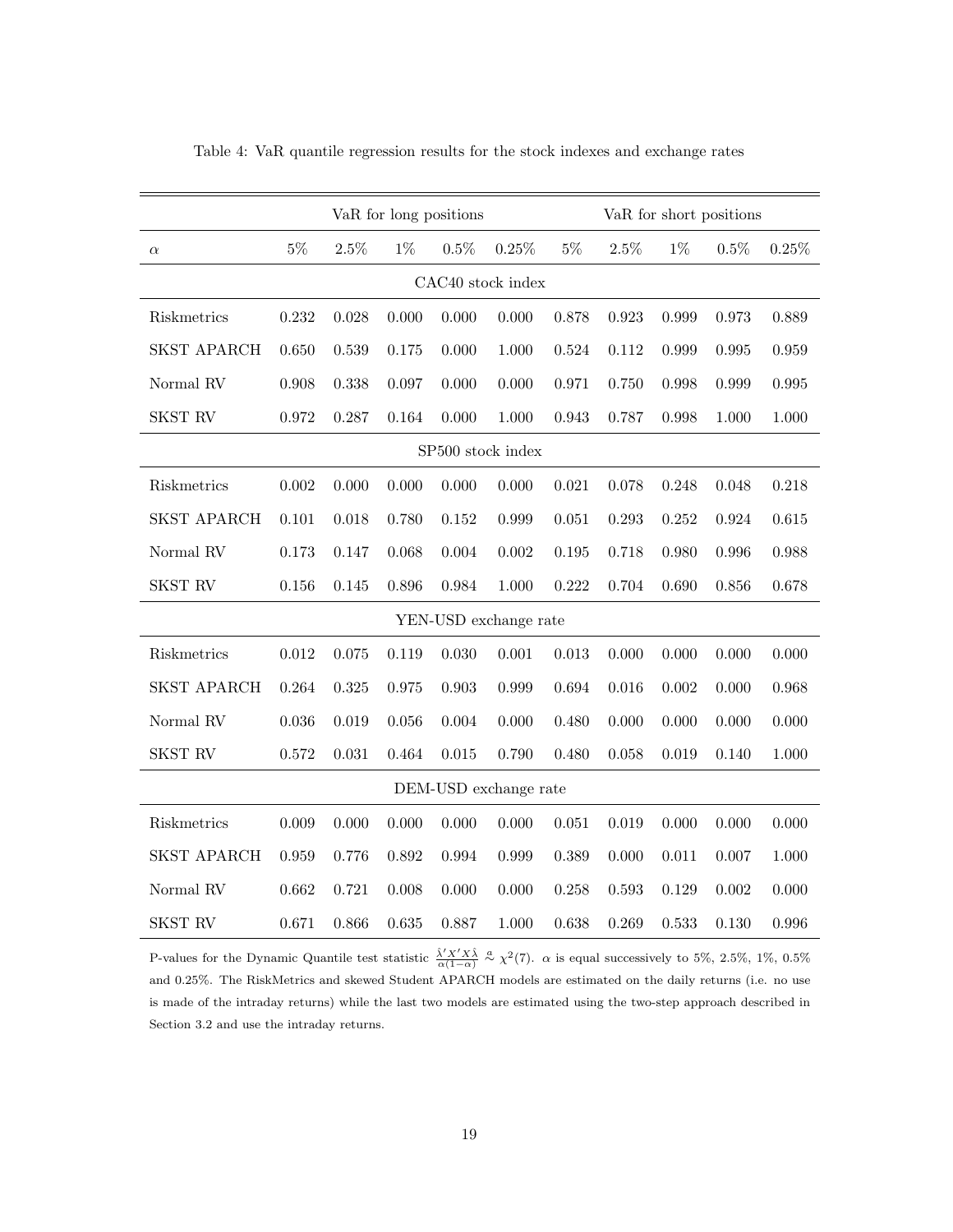|                                        | VaR for long positions |         |           |         | VaR for short positions |             |             |       |             |           |
|----------------------------------------|------------------------|---------|-----------|---------|-------------------------|-------------|-------------|-------|-------------|-----------|
| $\alpha$                               | $5\%$                  | $2.5\%$ | $1\%$     | $0.5\%$ | $0.25\%$                | $5\%$       | $2.5\%$     | $1\%$ | $0.5\%$     | $0.25\%$  |
| CAC40 stock index                      |                        |         |           |         |                         |             |             |       |             |           |
| Riskmetrics                            | 0.232                  | 0.028   | 0.000     | 0.000   | 0.000                   | 0.878       | 0.923       | 0.999 | 0.973       | 0.889     |
| <b>SKST APARCH</b>                     | $0.650\,$              | 0.539   | $0.175\,$ | 0.000   | 1.000                   | 0.524       | 0.112       | 0.999 | 0.995       | 0.959     |
| Normal RV                              | $0.908\,$              | 0.338   | 0.097     | 0.000   | 0.000                   | 0.971       | 0.750       | 0.998 | 0.999       | 0.995     |
| <b>SKST RV</b>                         | 0.972                  | 0.287   | 0.164     | 0.000   | 1.000                   | 0.943       | 0.787       | 0.998 | 1.000       | 1.000     |
| SP500 stock index                      |                        |         |           |         |                         |             |             |       |             |           |
| Riskmetrics                            | $0.002\,$              | 0.000   | 0.000     | 0.000   | 0.000                   | 0.021       | 0.078       | 0.248 | 0.048       | 0.218     |
| <b>SKST APARCH</b>                     | 0.101                  | 0.018   | 0.780     | 0.152   | 0.999                   | $\,0.051\,$ | 0.293       | 0.252 | $\,0.924\,$ | $0.615\,$ |
| Normal RV                              | 0.173                  | 0.147   | 0.068     | 0.004   | $0.002\,$               | 0.195       | 0.718       | 0.980 | $\,0.996\,$ | 0.988     |
| SKST RV                                | $0.156\,$              | 0.145   | 0.896     | 0.984   | 1.000                   | 0.222       | 0.704       | 0.690 | 0.856       | 0.678     |
|                                        |                        |         |           |         | YEN-USD exchange rate   |             |             |       |             |           |
| Riskmetrics                            | 0.012                  | 0.075   | 0.119     | 0.030   | $0.001\,$               | 0.013       | 0.000       | 0.000 | 0.000       | 0.000     |
| <b>SKST APARCH</b>                     | 0.264                  | 0.325   | 0.975     | 0.903   | 0.999                   | 0.694       | 0.016       | 0.002 | 0.000       | 0.968     |
| Normal RV                              | 0.036                  | 0.019   | 0.056     | 0.004   | 0.000                   | 0.480       | 0.000       | 0.000 | 0.000       | 0.000     |
| SKST RV                                | $0.572\,$              | 0.031   | 0.464     | 0.015   | 0.790                   | 0.480       | 0.058       | 0.019 | 0.140       | $1.000\,$ |
| $\operatorname{DEM-USD}$ exchange rate |                        |         |           |         |                         |             |             |       |             |           |
| Riskmetrics                            | 0.009                  | 0.000   | 0.000     | 0.000   | 0.000                   | 0.051       | 0.019       | 0.000 | 0.000       | 0.000     |
| <b>SKST APARCH</b>                     | 0.959                  | 0.776   | 0.892     | 0.994   | 0.999                   | 0.389       | 0.000       | 0.011 | 0.007       | 1.000     |
| Normal RV                              | $\,0.662\,$            | 0.721   | 0.008     | 0.000   | 0.000                   | 0.258       | $\,0.593\,$ | 0.129 | $0.002\,$   | 0.000     |
| <b>SKST RV</b>                         | 0.671                  | 0.866   | 0.635     | 0.887   | 1.000                   | 0.638       | 0.269       | 0.533 | 0.130       | 0.996     |

Table 4: VaR quantile regression results for the stock indexes and exchange rates

P-values for the Dynamic Quantile test statistic  $\frac{\hat{\lambda}' X' X \hat{\lambda}}{\alpha(1-\alpha)} \overset{a}{\sim} \chi^2(7)$ .  $\alpha$  is equal successively to 5%, 2.5%, 1%, 0.5% and 0.25%. The RiskMetrics and skewed Student APARCH models are estimated on the daily returns (i.e. no use is made of the intraday returns) while the last two models are estimated using the two-step approach described in Section 3.2 and use the intraday returns.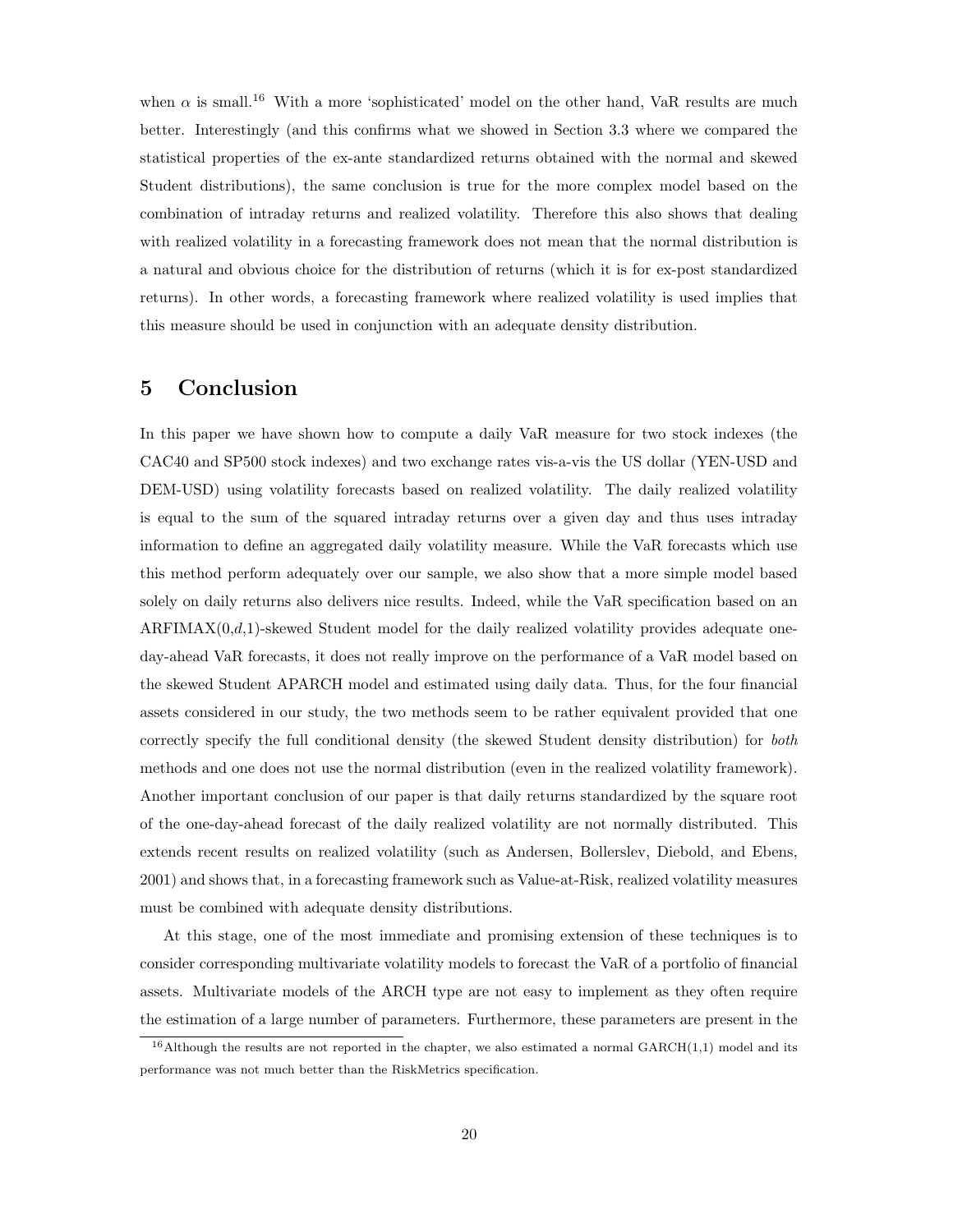when  $\alpha$  is small.<sup>16</sup> With a more 'sophisticated' model on the other hand, VaR results are much better. Interestingly (and this confirms what we showed in Section 3.3 where we compared the statistical properties of the ex-ante standardized returns obtained with the normal and skewed Student distributions), the same conclusion is true for the more complex model based on the combination of intraday returns and realized volatility. Therefore this also shows that dealing with realized volatility in a forecasting framework does not mean that the normal distribution is a natural and obvious choice for the distribution of returns (which it is for ex-post standardized returns). In other words, a forecasting framework where realized volatility is used implies that this measure should be used in conjunction with an adequate density distribution.

## 5 Conclusion

In this paper we have shown how to compute a daily VaR measure for two stock indexes (the CAC40 and SP500 stock indexes) and two exchange rates vis-a-vis the US dollar (YEN-USD and DEM-USD) using volatility forecasts based on realized volatility. The daily realized volatility is equal to the sum of the squared intraday returns over a given day and thus uses intraday information to define an aggregated daily volatility measure. While the VaR forecasts which use this method perform adequately over our sample, we also show that a more simple model based solely on daily returns also delivers nice results. Indeed, while the VaR specification based on an  $ARFIMAX(0,d,1)$ -skewed Student model for the daily realized volatility provides adequate oneday-ahead VaR forecasts, it does not really improve on the performance of a VaR model based on the skewed Student APARCH model and estimated using daily data. Thus, for the four financial assets considered in our study, the two methods seem to be rather equivalent provided that one correctly specify the full conditional density (the skewed Student density distribution) for both methods and one does not use the normal distribution (even in the realized volatility framework). Another important conclusion of our paper is that daily returns standardized by the square root of the one-day-ahead forecast of the daily realized volatility are not normally distributed. This extends recent results on realized volatility (such as Andersen, Bollerslev, Diebold, and Ebens, 2001) and shows that, in a forecasting framework such as Value-at-Risk, realized volatility measures must be combined with adequate density distributions.

At this stage, one of the most immediate and promising extension of these techniques is to consider corresponding multivariate volatility models to forecast the VaR of a portfolio of financial assets. Multivariate models of the ARCH type are not easy to implement as they often require the estimation of a large number of parameters. Furthermore, these parameters are present in the

<sup>&</sup>lt;sup>16</sup>Although the results are not reported in the chapter, we also estimated a normal  $GARCH(1,1)$  model and its performance was not much better than the RiskMetrics specification.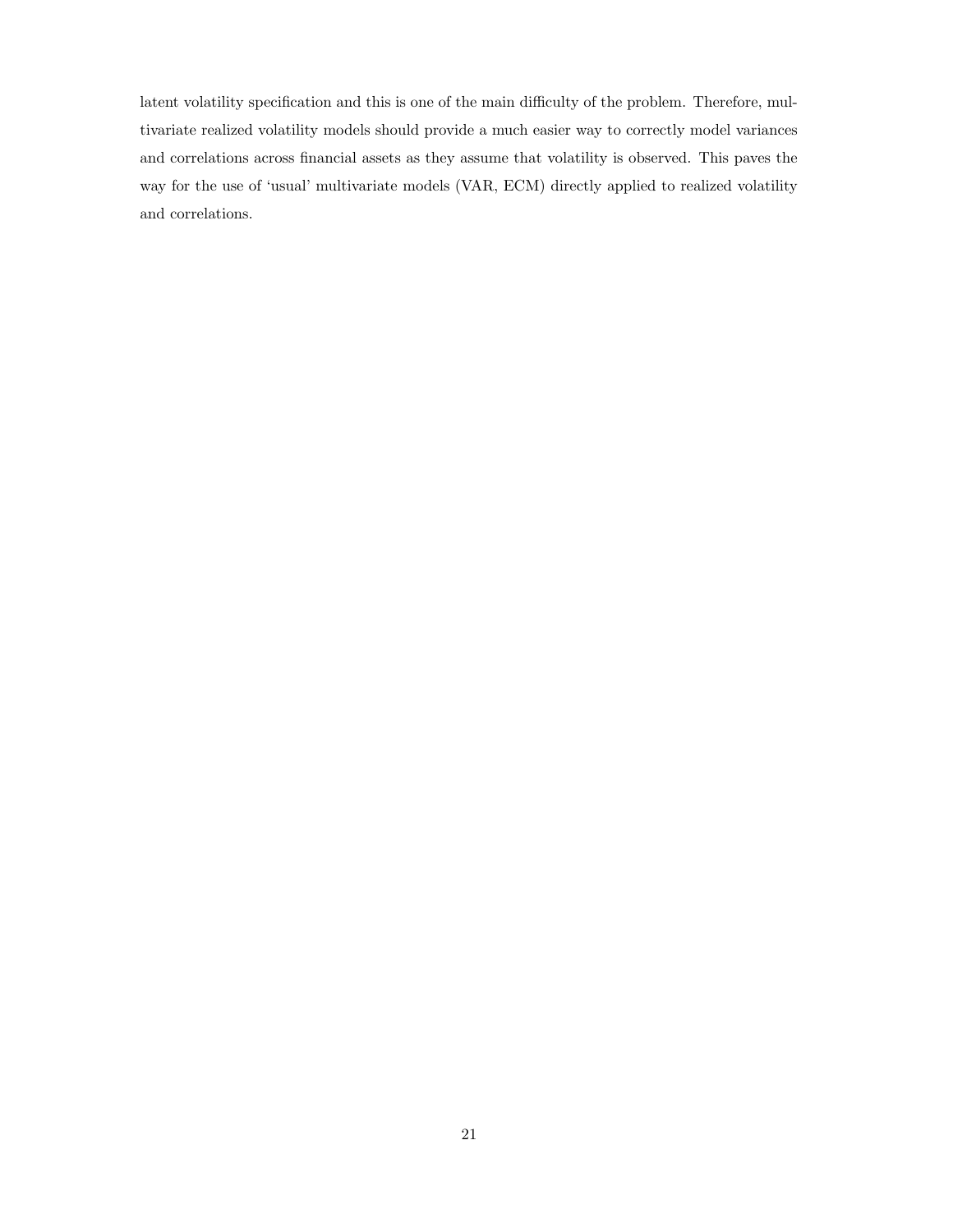latent volatility specification and this is one of the main difficulty of the problem. Therefore, multivariate realized volatility models should provide a much easier way to correctly model variances and correlations across financial assets as they assume that volatility is observed. This paves the way for the use of 'usual' multivariate models (VAR, ECM) directly applied to realized volatility and correlations.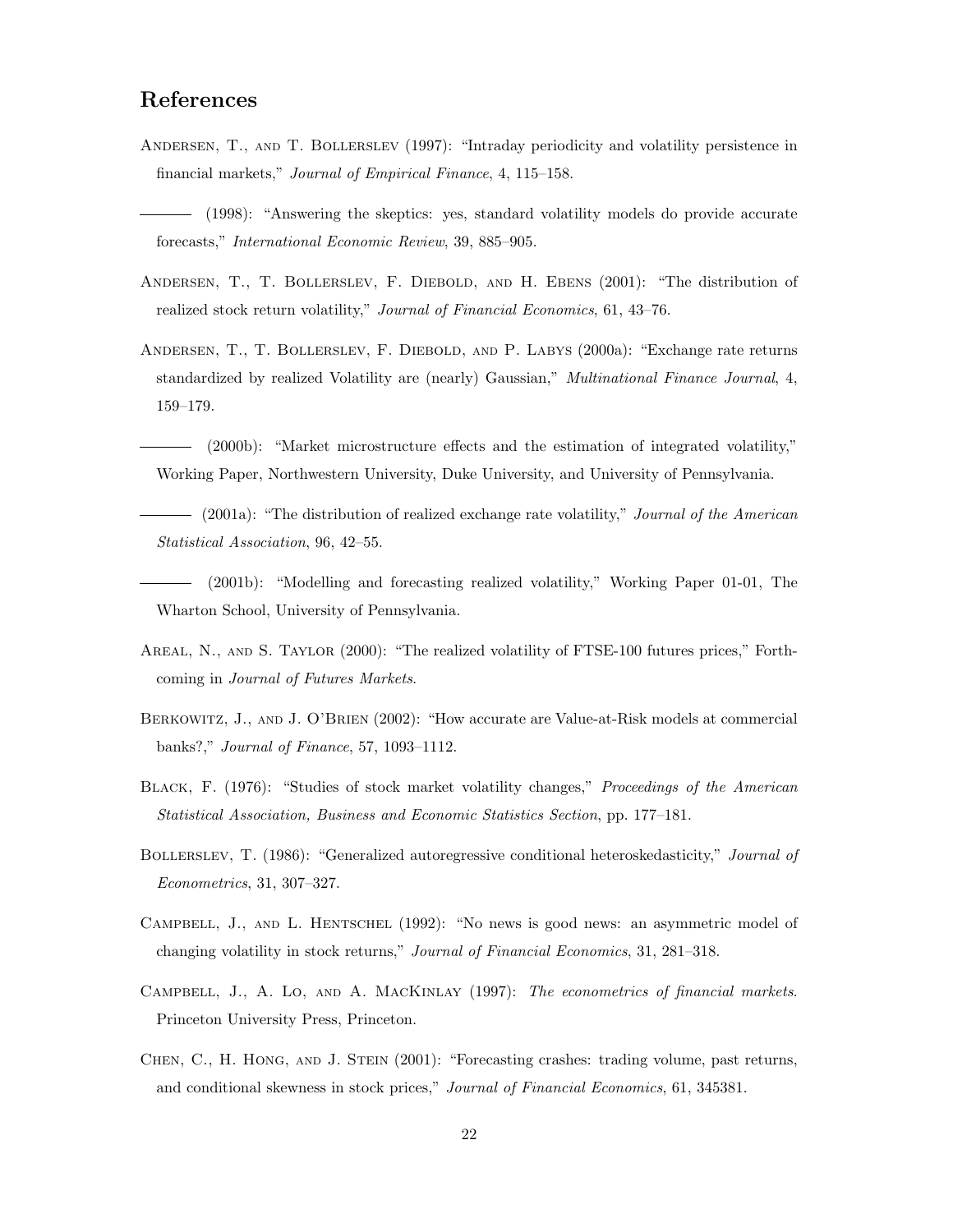## References

- Andersen, T., and T. Bollerslev (1997): "Intraday periodicity and volatility persistence in financial markets," Journal of Empirical Finance, 4, 115–158.
- (1998): "Answering the skeptics: yes, standard volatility models do provide accurate forecasts," International Economic Review, 39, 885–905.
- Andersen, T., T. Bollerslev, F. Diebold, and H. Ebens (2001): "The distribution of realized stock return volatility," Journal of Financial Economics, 61, 43–76.
- Andersen, T., T. Bollerslev, F. Diebold, and P. Labys (2000a): "Exchange rate returns standardized by realized Volatility are (nearly) Gaussian," Multinational Finance Journal, 4, 159–179.
- (2000b): "Market microstructure effects and the estimation of integrated volatility," Working Paper, Northwestern University, Duke University, and University of Pennsylvania.
- (2001a): "The distribution of realized exchange rate volatility," Journal of the American Statistical Association, 96, 42–55.
- (2001b): "Modelling and forecasting realized volatility," Working Paper 01-01, The Wharton School, University of Pennsylvania.
- Areal, N., and S. Taylor (2000): "The realized volatility of FTSE-100 futures prices," Forthcoming in Journal of Futures Markets.
- Berkowitz, J., and J. O'Brien (2002): "How accurate are Value-at-Risk models at commercial banks?," Journal of Finance, 57, 1093–1112.
- BLACK, F. (1976): "Studies of stock market volatility changes," Proceedings of the American Statistical Association, Business and Economic Statistics Section, pp. 177–181.
- BOLLERSLEV, T. (1986): "Generalized autoregressive conditional heteroskedasticity," Journal of Econometrics, 31, 307–327.
- Campbell, J., and L. Hentschel (1992): "No news is good news: an asymmetric model of changing volatility in stock returns," Journal of Financial Economics, 31, 281–318.
- Campbell, J., A. Lo, and A. MacKinlay (1997): The econometrics of financial markets. Princeton University Press, Princeton.
- CHEN, C., H. HONG, AND J. STEIN (2001): "Forecasting crashes: trading volume, past returns, and conditional skewness in stock prices," Journal of Financial Economics, 61, 345381.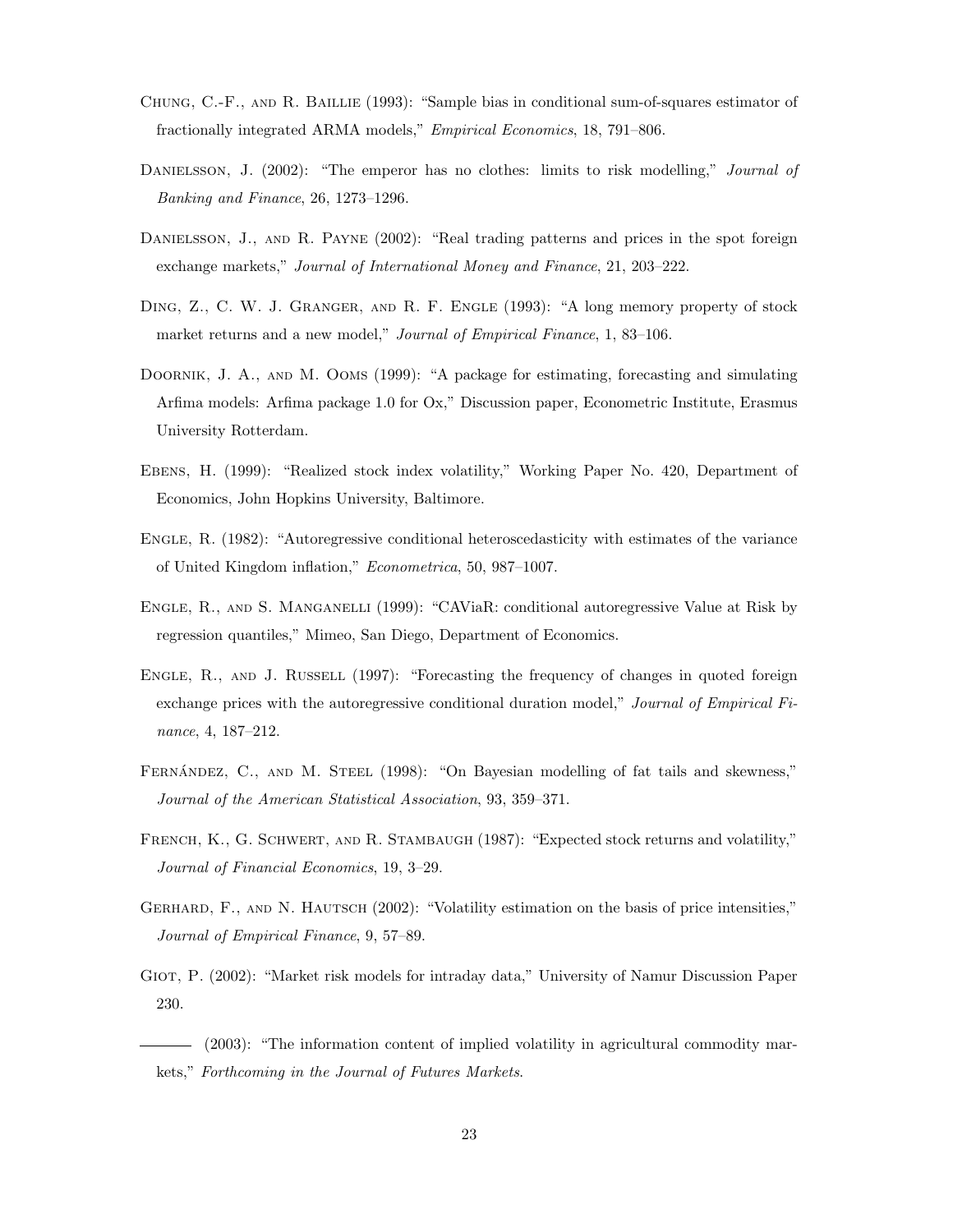- Chung, C.-F., and R. Baillie (1993): "Sample bias in conditional sum-of-squares estimator of fractionally integrated ARMA models," Empirical Economics, 18, 791–806.
- DANIELSSON, J. (2002): "The emperor has no clothes: limits to risk modelling," Journal of Banking and Finance, 26, 1273–1296.
- DANIELSSON, J., AND R. PAYNE (2002): "Real trading patterns and prices in the spot foreign exchange markets," Journal of International Money and Finance, 21, 203–222.
- Ding, Z., C. W. J. Granger, and R. F. Engle (1993): "A long memory property of stock market returns and a new model," Journal of Empirical Finance, 1, 83–106.
- DOORNIK, J. A., AND M. OOMS (1999): "A package for estimating, forecasting and simulating Arfima models: Arfima package 1.0 for Ox," Discussion paper, Econometric Institute, Erasmus University Rotterdam.
- Ebens, H. (1999): "Realized stock index volatility," Working Paper No. 420, Department of Economics, John Hopkins University, Baltimore.
- Engle, R. (1982): "Autoregressive conditional heteroscedasticity with estimates of the variance of United Kingdom inflation," Econometrica, 50, 987–1007.
- Engle, R., and S. Manganelli (1999): "CAViaR: conditional autoregressive Value at Risk by regression quantiles," Mimeo, San Diego, Department of Economics.
- ENGLE, R., AND J. RUSSELL (1997): "Forecasting the frequency of changes in quoted foreign exchange prices with the autoregressive conditional duration model," Journal of Empirical Finance, 4, 187–212.
- FERNÁNDEZ, C., AND M. STEEL (1998): "On Bayesian modelling of fat tails and skewness," Journal of the American Statistical Association, 93, 359–371.
- FRENCH, K., G. SCHWERT, AND R. STAMBAUGH (1987): "Expected stock returns and volatility," Journal of Financial Economics, 19, 3–29.
- GERHARD, F., AND N. HAUTSCH (2002): "Volatility estimation on the basis of price intensities," Journal of Empirical Finance, 9, 57–89.
- Giot, P. (2002): "Market risk models for intraday data," University of Namur Discussion Paper 230.
- (2003): "The information content of implied volatility in agricultural commodity markets," Forthcoming in the Journal of Futures Markets.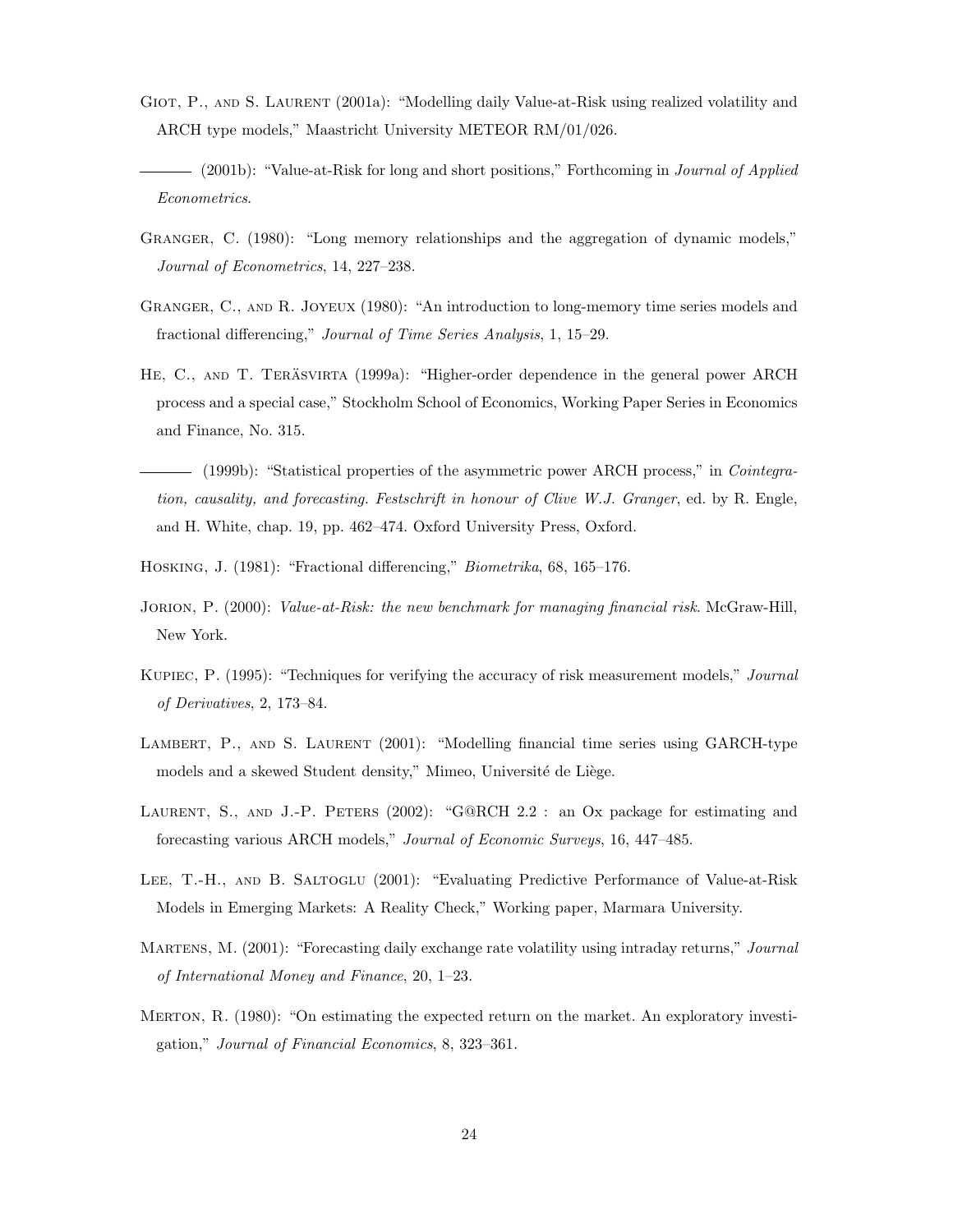- Giot, P., and S. Laurent (2001a): "Modelling daily Value-at-Risk using realized volatility and ARCH type models," Maastricht University METEOR RM/01/026.
- (2001b): "Value-at-Risk for long and short positions," Forthcoming in *Journal of Applied* Econometrics.
- Granger, C. (1980): "Long memory relationships and the aggregation of dynamic models," Journal of Econometrics, 14, 227–238.
- Granger, C., and R. Joyeux (1980): "An introduction to long-memory time series models and fractional differencing," Journal of Time Series Analysis, 1, 15–29.
- HE, C., AND T. TERÄSVIRTA (1999a): "Higher-order dependence in the general power ARCH process and a special case," Stockholm School of Economics, Working Paper Series in Economics and Finance, No. 315.
- (1999b): "Statistical properties of the asymmetric power ARCH process," in *Cointegra*tion, causality, and forecasting. Festschrift in honour of Clive W.J. Granger, ed. by R. Engle, and H. White, chap. 19, pp. 462–474. Oxford University Press, Oxford.
- Hosking, J. (1981): "Fractional differencing," Biometrika, 68, 165–176.
- JORION, P. (2000): Value-at-Risk: the new benchmark for managing financial risk. McGraw-Hill, New York.
- KUPIEC, P. (1995): "Techniques for verifying the accuracy of risk measurement models," Journal of Derivatives, 2, 173–84.
- LAMBERT, P., AND S. LAURENT (2001): "Modelling financial time series using GARCH-type models and a skewed Student density," Mimeo, Université de Liège.
- LAURENT, S., AND J.-P. PETERS  $(2002)$ : "G@RCH 2.2 : an Ox package for estimating and forecasting various ARCH models," Journal of Economic Surveys, 16, 447–485.
- LEE, T.-H., AND B. SALTOGLU (2001): "Evaluating Predictive Performance of Value-at-Risk Models in Emerging Markets: A Reality Check," Working paper, Marmara University.
- MARTENS, M. (2001): "Forecasting daily exchange rate volatility using intraday returns," Journal of International Money and Finance, 20, 1–23.
- Merton, R. (1980): "On estimating the expected return on the market. An exploratory investigation," Journal of Financial Economics, 8, 323–361.